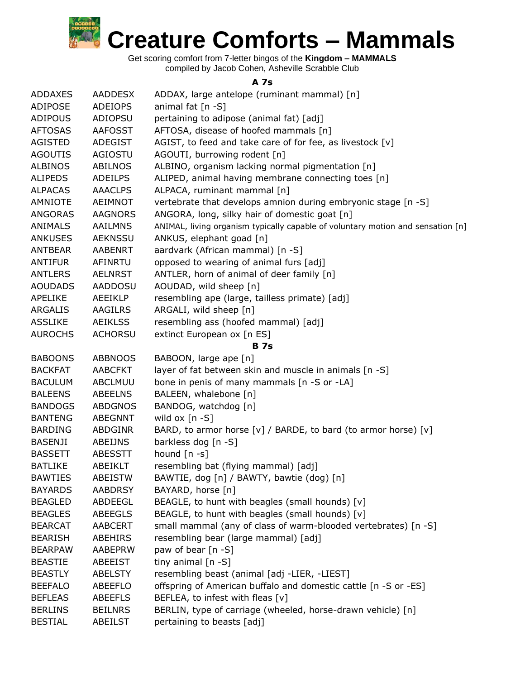

Get scoring comfort from 7-letter bingos of the **Kingdom – MAMMALS** compiled by Jacob Cohen, Asheville Scrabble Club

## **A 7s**

| <b>ADDAXES</b> | <b>AADDESX</b> | ADDAX, large antelope (ruminant mammal) [n]                                     |
|----------------|----------------|---------------------------------------------------------------------------------|
| <b>ADIPOSE</b> | <b>ADEIOPS</b> | animal fat [n -S]                                                               |
| <b>ADIPOUS</b> | ADIOPSU        | pertaining to adipose (animal fat) [adj]                                        |
| <b>AFTOSAS</b> | <b>AAFOSST</b> | AFTOSA, disease of hoofed mammals [n]                                           |
| <b>AGISTED</b> | ADEGIST        | AGIST, to feed and take care of for fee, as livestock [v]                       |
| <b>AGOUTIS</b> | AGIOSTU        | AGOUTI, burrowing rodent [n]                                                    |
| <b>ALBINOS</b> | <b>ABILNOS</b> | ALBINO, organism lacking normal pigmentation [n]                                |
| <b>ALIPEDS</b> | ADEILPS        | ALIPED, animal having membrane connecting toes [n]                              |
| <b>ALPACAS</b> | <b>AAACLPS</b> | ALPACA, ruminant mammal [n]                                                     |
| <b>AMNIOTE</b> | <b>AEIMNOT</b> | vertebrate that develops amnion during embryonic stage [n -S]                   |
| <b>ANGORAS</b> | <b>AAGNORS</b> | ANGORA, long, silky hair of domestic goat [n]                                   |
| <b>ANIMALS</b> | <b>AAILMNS</b> | ANIMAL, living organism typically capable of voluntary motion and sensation [n] |
| <b>ANKUSES</b> | <b>AEKNSSU</b> | ANKUS, elephant goad [n]                                                        |
| <b>ANTBEAR</b> | AABENRT        | aardvark (African mammal) [n -S]                                                |
| <b>ANTIFUR</b> | AFINRTU        | opposed to wearing of animal furs [adj]                                         |
| <b>ANTLERS</b> | <b>AELNRST</b> | ANTLER, horn of animal of deer family [n]                                       |
| <b>AOUDADS</b> | AADDOSU        | AOUDAD, wild sheep [n]                                                          |
| <b>APELIKE</b> | <b>AEEIKLP</b> | resembling ape (large, tailless primate) [adj]                                  |
| ARGALIS        | AAGILRS        | ARGALI, wild sheep [n]                                                          |
| <b>ASSLIKE</b> | <b>AEIKLSS</b> | resembling ass (hoofed mammal) [adj]                                            |
| <b>AUROCHS</b> | <b>ACHORSU</b> | extinct European ox [n ES]                                                      |
|                |                | <b>B</b> 7s                                                                     |
| <b>BABOONS</b> | <b>ABBNOOS</b> | BABOON, large ape [n]                                                           |
| <b>BACKFAT</b> | <b>AABCFKT</b> | layer of fat between skin and muscle in animals [n -S]                          |
| <b>BACULUM</b> | ABCLMUU        | bone in penis of many mammals [n -S or -LA]                                     |
| <b>BALEENS</b> | <b>ABEELNS</b> | BALEEN, whalebone [n]                                                           |
| <b>BANDOGS</b> | <b>ABDGNOS</b> | BANDOG, watchdog [n]                                                            |
| <b>BANTENG</b> | ABEGNNT        | wild ox $[n - S]$                                                               |
| <b>BARDING</b> | ABDGINR        | BARD, to armor horse [v] / BARDE, to bard (to armor horse) [v]                  |
| <b>BASENJI</b> | ABEIJNS        | barkless dog [n -S]                                                             |
| <b>BASSETT</b> | <b>ABESSTT</b> | hound $[n - s]$                                                                 |
| <b>BATLIKE</b> | ABEIKLT        | resembling bat (flying mammal) [adj]                                            |
| <b>BAWTIES</b> | <b>ABEISTW</b> | BAWTIE, dog [n] / BAWTY, bawtie (dog) [n]                                       |
| <b>BAYARDS</b> | <b>AABDRSY</b> | BAYARD, horse [n]                                                               |
| <b>BEAGLED</b> | ABDEEGL        | BEAGLE, to hunt with beagles (small hounds) [v]                                 |
| <b>BEAGLES</b> | <b>ABEEGLS</b> | BEAGLE, to hunt with beagles (small hounds) [v]                                 |
| <b>BEARCAT</b> | <b>AABCERT</b> | small mammal (any of class of warm-blooded vertebrates) [n -S]                  |
| <b>BEARISH</b> | <b>ABEHIRS</b> | resembling bear (large mammal) [adj]                                            |
| <b>BEARPAW</b> | AABEPRW        | paw of bear [n -S]                                                              |
| <b>BEASTIE</b> | <b>ABEEIST</b> | tiny animal $[n -S]$                                                            |
| <b>BEASTLY</b> | <b>ABELSTY</b> | resembling beast (animal [adj -LIER, -LIEST]                                    |
| <b>BEEFALO</b> | <b>ABEEFLO</b> | offspring of American buffalo and domestic cattle [n -S or -ES]                 |
| <b>BEFLEAS</b> | <b>ABEEFLS</b> | BEFLEA, to infest with fleas [v]                                                |
| <b>BERLINS</b> | <b>BEILNRS</b> | BERLIN, type of carriage (wheeled, horse-drawn vehicle) [n]                     |
| <b>BESTIAL</b> | ABEILST        | pertaining to beasts [adj]                                                      |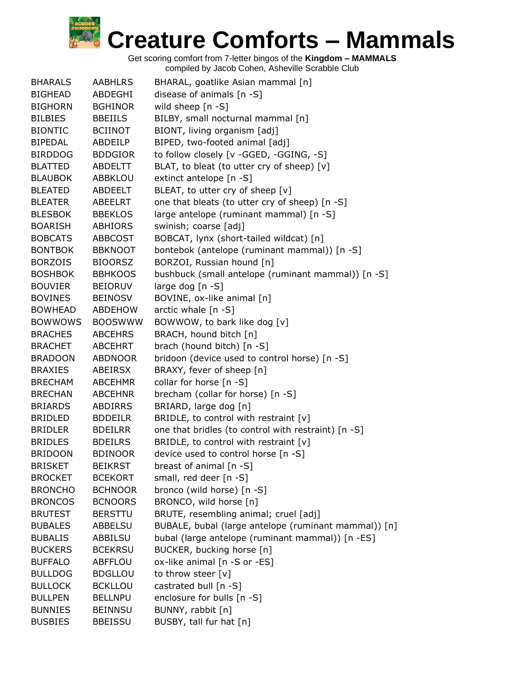| <b>BHARALS</b> | <b>AABHLRS</b> | BHARAL, goatlike Asian mammal [n]                    |
|----------------|----------------|------------------------------------------------------|
| <b>BIGHEAD</b> | ABDEGHI        | disease of animals [n -S]                            |
| <b>BIGHORN</b> | <b>BGHINOR</b> | wild sheep [n -S]                                    |
| <b>BILBIES</b> | <b>BBEIILS</b> | BILBY, small nocturnal mammal [n]                    |
| <b>BIONTIC</b> | <b>BCIINOT</b> | BIONT, living organism [adj]                         |
| <b>BIPEDAL</b> | ABDEILP        | BIPED, two-footed animal [adj]                       |
| <b>BIRDDOG</b> | <b>BDDGIOR</b> | to follow closely [v -GGED, -GGING, -S]              |
| <b>BLATTED</b> | ABDELTT        | BLAT, to bleat (to utter cry of sheep) [v]           |
| <b>BLAUBOK</b> | <b>ABBKLOU</b> | extinct antelope [n -S]                              |
| <b>BLEATED</b> | ABDEELT        | BLEAT, to utter cry of sheep [v]                     |
| <b>BLEATER</b> | ABEELRT        | one that bleats (to utter cry of sheep) [n -S]       |
| <b>BLESBOK</b> | <b>BBEKLOS</b> | large antelope (ruminant mammal) [n -S]              |
| <b>BOARISH</b> | ABHIORS        | swinish; coarse [adj]                                |
| <b>BOBCATS</b> | ABBCOST        | BOBCAT, lynx (short-tailed wildcat) [n]              |
| <b>BONTBOK</b> | <b>BBKNOOT</b> | bontebok (antelope (ruminant mammal)) [n -S]         |
| <b>BORZOIS</b> | <b>BIOORSZ</b> | BORZOI, Russian hound [n]                            |
| <b>BOSHBOK</b> | <b>BBHKOOS</b> | bushbuck (small antelope (ruminant mammal)) [n -S]   |
| <b>BOUVIER</b> | <b>BEIORUV</b> | large dog [n -S]                                     |
| <b>BOVINES</b> | <b>BEINOSV</b> | BOVINE, ox-like animal [n]                           |
| BOWHEAD        | ABDEHOW        | arctic whale [n -S]                                  |
| <b>BOWWOWS</b> | <b>BOOSWWW</b> | BOWWOW, to bark like dog [v]                         |
| <b>BRACHES</b> | <b>ABCEHRS</b> | BRACH, hound bitch [n]                               |
| <b>BRACHET</b> | <b>ABCEHRT</b> | brach (hound bitch) [n -S]                           |
| <b>BRADOON</b> | <b>ABDNOOR</b> | bridoon (device used to control horse) [n -S]        |
| <b>BRAXIES</b> | ABEIRSX        | BRAXY, fever of sheep [n]                            |
| <b>BRECHAM</b> | <b>ABCEHMR</b> | collar for horse [n -S]                              |
| <b>BRECHAN</b> | <b>ABCEHNR</b> | brecham (collar for horse) [n -S]                    |
| <b>BRIARDS</b> | <b>ABDIRRS</b> | BRIARD, large dog [n]                                |
| <b>BRIDLED</b> | <b>BDDEILR</b> | BRIDLE, to control with restraint [v]                |
| BRIDLER        | <b>BDEILRR</b> | one that bridles (to control with restraint) [n -S]  |
| <b>BRIDLES</b> | <b>BDEILRS</b> | BRIDLE, to control with restraint $[v]$              |
| <b>BRIDOON</b> | <b>BDINOOR</b> | device used to control horse [n -S]                  |
| <b>BRISKET</b> | <b>BEIKRST</b> | breast of animal [n -S]                              |
| <b>BROCKET</b> | <b>BCEKORT</b> | small, red deer [n -S]                               |
| <b>BRONCHO</b> | <b>BCHNOOR</b> | bronco (wild horse) [n -S]                           |
| <b>BRONCOS</b> | <b>BCNOORS</b> | BRONCO, wild horse [n]                               |
| <b>BRUTEST</b> | <b>BERSTTU</b> | BRUTE, resembling animal; cruel [adj]                |
| <b>BUBALES</b> | ABBELSU        | BUBALE, bubal (large antelope (ruminant mammal)) [n] |
| <b>BUBALIS</b> | ABBILSU        | bubal (large antelope (ruminant mammal)) [n -ES]     |
| <b>BUCKERS</b> | <b>BCEKRSU</b> | BUCKER, bucking horse [n]                            |
| <b>BUFFALO</b> | ABFFLOU        | ox-like animal [n -S or -ES]                         |
| <b>BULLDOG</b> | <b>BDGLLOU</b> | to throw steer [v]                                   |
| <b>BULLOCK</b> | <b>BCKLLOU</b> | castrated bull [n -S]                                |
| <b>BULLPEN</b> | <b>BELLNPU</b> | enclosure for bulls [n -S]                           |
| <b>BUNNIES</b> | <b>BEINNSU</b> | BUNNY, rabbit [n]                                    |
| <b>BUSBIES</b> | <b>BBEISSU</b> | BUSBY, tall fur hat [n]                              |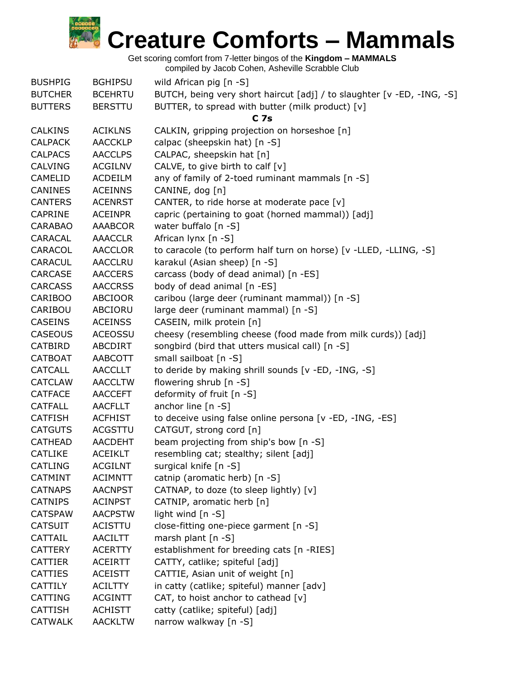Get scoring comfort from 7-letter bingos of the **Kingdom – MAMMALS**

| <b>BUSHPIG</b> | <b>BGHIPSU</b> | wild African pig [n -S]                                                |
|----------------|----------------|------------------------------------------------------------------------|
| <b>BUTCHER</b> | <b>BCEHRTU</b> | BUTCH, being very short haircut [adj] / to slaughter [v -ED, -ING, -S] |
| <b>BUTTERS</b> | <b>BERSTTU</b> | BUTTER, to spread with butter (milk product) [v]                       |
|                |                | <b>C</b> 7s                                                            |
| <b>CALKINS</b> | <b>ACIKLNS</b> | CALKIN, gripping projection on horseshoe [n]                           |
| <b>CALPACK</b> | <b>AACCKLP</b> | calpac (sheepskin hat) [n -S]                                          |
| <b>CALPACS</b> | <b>AACCLPS</b> | CALPAC, sheepskin hat [n]                                              |
| <b>CALVING</b> | <b>ACGILNV</b> | CALVE, to give birth to calf $[v]$                                     |
| CAMELID        | <b>ACDEILM</b> | any of family of 2-toed ruminant mammals [n -S]                        |
| <b>CANINES</b> | <b>ACEINNS</b> | CANINE, dog [n]                                                        |
| <b>CANTERS</b> | <b>ACENRST</b> | CANTER, to ride horse at moderate pace [v]                             |
| <b>CAPRINE</b> | <b>ACEINPR</b> | capric (pertaining to goat (horned mammal)) [adj]                      |
| <b>CARABAO</b> | <b>AAABCOR</b> | water buffalo [n -S]                                                   |
| CARACAL        | <b>AAACCLR</b> | African lynx [n -S]                                                    |
| CARACOL        | AACCLOR        | to caracole (to perform half turn on horse) [v -LLED, -LLING, -S]      |
| <b>CARACUL</b> | <b>AACCLRU</b> | karakul (Asian sheep) [n -S]                                           |
| CARCASE        | <b>AACCERS</b> | carcass (body of dead animal) [n -ES]                                  |
| <b>CARCASS</b> | <b>AACCRSS</b> | body of dead animal [n -ES]                                            |
| <b>CARIBOO</b> | <b>ABCIOOR</b> | caribou (large deer (ruminant mammal)) [n -S]                          |
| CARIBOU        | ABCIORU        | large deer (ruminant mammal) [n -S]                                    |
| <b>CASEINS</b> | <b>ACEINSS</b> | CASEIN, milk protein [n]                                               |
| <b>CASEOUS</b> | <b>ACEOSSU</b> | cheesy (resembling cheese (food made from milk curds)) [adj]           |
| CATBIRD        | ABCDIRT        | songbird (bird that utters musical call) [n -S]                        |
| <b>CATBOAT</b> | AABCOTT        | small sailboat [n -S]                                                  |
| <b>CATCALL</b> | <b>AACCLLT</b> | to deride by making shrill sounds [v -ED, -ING, -S]                    |
| <b>CATCLAW</b> | <b>AACCLTW</b> | flowering shrub [n -S]                                                 |
| <b>CATFACE</b> | <b>AACCEFT</b> | deformity of fruit [n -S]                                              |
| <b>CATFALL</b> | <b>AACFLLT</b> | anchor line $[n -S]$                                                   |
| <b>CATFISH</b> | <b>ACFHIST</b> | to deceive using false online persona [v -ED, -ING, -ES]               |
| <b>CATGUTS</b> | <b>ACGSTTU</b> | CATGUT, strong cord [n]                                                |
| <b>CATHEAD</b> | <b>AACDEHT</b> | beam projecting from ship's bow [n -S]                                 |
| <b>CATLIKE</b> | <b>ACEIKLT</b> | resembling cat; stealthy; silent [adj]                                 |
| CATLING        | <b>ACGILNT</b> | surgical knife [n -S]                                                  |
| <b>CATMINT</b> | <b>ACIMNTT</b> | catnip (aromatic herb) [n -S]                                          |
| <b>CATNAPS</b> | <b>AACNPST</b> | CATNAP, to doze (to sleep lightly) [v]                                 |
| <b>CATNIPS</b> | <b>ACINPST</b> | CATNIP, aromatic herb [n]                                              |
| <b>CATSPAW</b> | <b>AACPSTW</b> | light wind [n -S]                                                      |
| <b>CATSUIT</b> | <b>ACISTTU</b> | close-fitting one-piece garment [n -S]                                 |
| CATTAIL        | AACILTT        | marsh plant $[n - S]$                                                  |
| <b>CATTERY</b> | <b>ACERTTY</b> | establishment for breeding cats [n -RIES]                              |
| <b>CATTIER</b> | <b>ACEIRTT</b> | CATTY, catlike; spiteful [adj]                                         |
| <b>CATTIES</b> | <b>ACEISTT</b> | CATTIE, Asian unit of weight [n]                                       |
| <b>CATTILY</b> | <b>ACILTTY</b> | in catty (catlike; spiteful) manner [adv]                              |
| CATTING        | <b>ACGINTT</b> | CAT, to hoist anchor to cathead [v]                                    |
| <b>CATTISH</b> | <b>ACHISTT</b> | catty (catlike; spiteful) [adj]                                        |
| <b>CATWALK</b> | <b>AACKLTW</b> | narrow walkway [n -S]                                                  |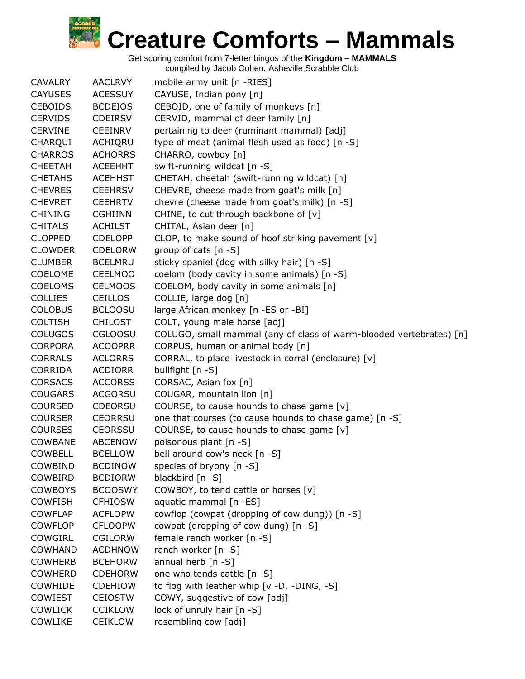| <b>CAVALRY</b> | <b>AACLRVY</b> | mobile army unit [n -RIES]                                          |
|----------------|----------------|---------------------------------------------------------------------|
| <b>CAYUSES</b> | <b>ACESSUY</b> | CAYUSE, Indian pony [n]                                             |
| <b>CEBOIDS</b> | <b>BCDEIOS</b> | CEBOID, one of family of monkeys [n]                                |
| <b>CERVIDS</b> | <b>CDEIRSV</b> | CERVID, mammal of deer family [n]                                   |
| <b>CERVINE</b> | <b>CEEINRV</b> | pertaining to deer (ruminant mammal) [adj]                          |
|                |                |                                                                     |
| CHARQUI        | ACHIQRU        | type of meat (animal flesh used as food) [n -S]                     |
| <b>CHARROS</b> | <b>ACHORRS</b> | CHARRO, cowboy [n]                                                  |
| <b>CHEETAH</b> | <b>ACEEHHT</b> | swift-running wildcat [n -S]                                        |
| <b>CHETAHS</b> | <b>ACEHHST</b> | CHETAH, cheetah (swift-running wildcat) [n]                         |
| <b>CHEVRES</b> | <b>CEEHRSV</b> | CHEVRE, cheese made from goat's milk [n]                            |
| <b>CHEVRET</b> | <b>CEEHRTV</b> | chevre (cheese made from goat's milk) [n -S]                        |
| <b>CHINING</b> | <b>CGHIINN</b> | CHINE, to cut through backbone of [v]                               |
| <b>CHITALS</b> | <b>ACHILST</b> | CHITAL, Asian deer [n]                                              |
| <b>CLOPPED</b> | <b>CDELOPP</b> | CLOP, to make sound of hoof striking pavement [v]                   |
| <b>CLOWDER</b> | <b>CDELORW</b> | group of cats [n -S]                                                |
| <b>CLUMBER</b> | <b>BCELMRU</b> | sticky spaniel (dog with silky hair) [n -S]                         |
| <b>COELOME</b> | <b>CEELMOO</b> | coelom (body cavity in some animals) [n -S]                         |
| <b>COELOMS</b> | <b>CELMOOS</b> | COELOM, body cavity in some animals [n]                             |
| <b>COLLIES</b> | <b>CEILLOS</b> | COLLIE, large dog [n]                                               |
| <b>COLOBUS</b> | <b>BCLOOSU</b> | large African monkey [n -ES or -BI]                                 |
| <b>COLTISH</b> | <b>CHILOST</b> | COLT, young male horse [adj]                                        |
| <b>COLUGOS</b> | <b>CGLOOSU</b> | COLUGO, small mammal (any of class of warm-blooded vertebrates) [n] |
| <b>CORPORA</b> | <b>ACOOPRR</b> | CORPUS, human or animal body [n]                                    |
| <b>CORRALS</b> | <b>ACLORRS</b> | CORRAL, to place livestock in corral (enclosure) [v]                |
| CORRIDA        | <b>ACDIORR</b> | bullfight [n -S]                                                    |
| <b>CORSACS</b> | <b>ACCORSS</b> | CORSAC, Asian fox [n]                                               |
| <b>COUGARS</b> | <b>ACGORSU</b> | COUGAR, mountain lion [n]                                           |
| <b>COURSED</b> | <b>CDEORSU</b> | COURSE, to cause hounds to chase game [v]                           |
| <b>COURSER</b> | <b>CEORRSU</b> | one that courses (to cause hounds to chase game) [n -S]             |
| <b>COURSES</b> | <b>CEORSSU</b> | COURSE, to cause hounds to chase game [v]                           |
| <b>COWBANE</b> | <b>ABCENOW</b> | poisonous plant [n -S]                                              |
| <b>COWBELL</b> | <b>BCELLOW</b> | bell around cow's neck [n -S]                                       |
| COWBIND        | <b>BCDINOW</b> | species of bryony [n -S]                                            |
| COWBIRD        | <b>BCDIORW</b> | blackbird [n -S]                                                    |
| <b>COWBOYS</b> | <b>BCOOSWY</b> | COWBOY, to tend cattle or horses [v]                                |
| <b>COWFISH</b> | <b>CFHIOSW</b> | aquatic mammal [n -ES]                                              |
| <b>COWFLAP</b> | <b>ACFLOPW</b> | cowflop (cowpat (dropping of cow dung)) [n -S]                      |
| <b>COWFLOP</b> | <b>CFLOOPW</b> | cowpat (dropping of cow dung) [n -S]                                |
| COWGIRL        | <b>CGILORW</b> | female ranch worker [n -S]                                          |
| <b>COWHAND</b> | <b>ACDHNOW</b> | ranch worker [n -S]                                                 |
| <b>COWHERB</b> | <b>BCEHORW</b> | annual herb [n -S]                                                  |
| <b>COWHERD</b> | <b>CDEHORW</b> | one who tends cattle [n -S]                                         |
| COWHIDE        | <b>CDEHIOW</b> | to flog with leather whip [v -D, -DING, -S]                         |
| <b>COWIEST</b> | <b>CEIOSTW</b> | COWY, suggestive of cow [adj]                                       |
| <b>COWLICK</b> | <b>CCIKLOW</b> | lock of unruly hair [n -S]                                          |
| COWLIKE        | <b>CEIKLOW</b> | resembling cow [adj]                                                |
|                |                |                                                                     |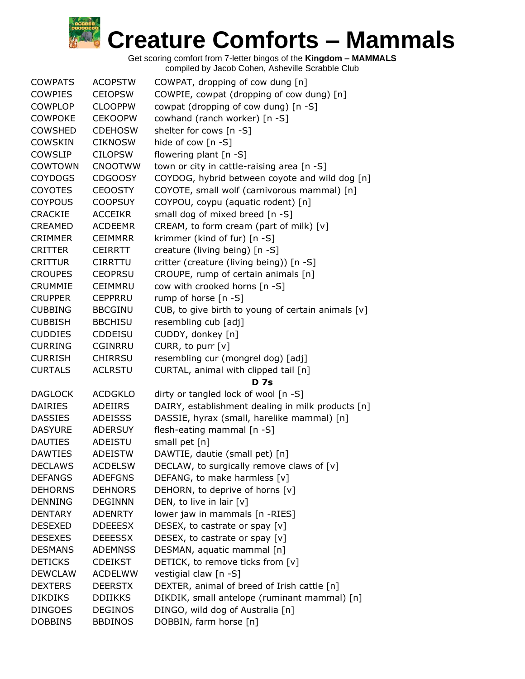| <b>COWPATS</b> | <b>ACOPSTW</b> | COWPAT, dropping of cow dung [n]                   |
|----------------|----------------|----------------------------------------------------|
| <b>COWPIES</b> | <b>CEIOPSW</b> | COWPIE, cowpat (dropping of cow dung) [n]          |
| <b>COWPLOP</b> | <b>CLOOPPW</b> | cowpat (dropping of cow dung) [n -S]               |
| <b>COWPOKE</b> | <b>CEKOOPW</b> | cowhand (ranch worker) [n -S]                      |
| <b>COWSHED</b> | <b>CDEHOSW</b> | shelter for cows [n -S]                            |
| <b>COWSKIN</b> | <b>CIKNOSW</b> | hide of cow [n -S]                                 |
| <b>COWSLIP</b> | <b>CILOPSW</b> | flowering plant [n -S]                             |
| <b>COWTOWN</b> | <b>CNOOTWW</b> | town or city in cattle-raising area [n -S]         |
| <b>COYDOGS</b> | <b>CDGOOSY</b> | COYDOG, hybrid between coyote and wild dog [n]     |
| <b>COYOTES</b> | <b>CEOOSTY</b> | COYOTE, small wolf (carnivorous mammal) [n]        |
| <b>COYPOUS</b> | <b>COOPSUY</b> | COYPOU, coypu (aquatic rodent) [n]                 |
| <b>CRACKIE</b> | <b>ACCEIKR</b> | small dog of mixed breed [n -S]                    |
| <b>CREAMED</b> | <b>ACDEEMR</b> | CREAM, to form cream (part of milk) [v]            |
| <b>CRIMMER</b> | <b>CEIMMRR</b> | krimmer (kind of fur) [n -S]                       |
| <b>CRITTER</b> | <b>CEIRRTT</b> | creature (living being) [n -S]                     |
| <b>CRITTUR</b> | <b>CIRRTTU</b> | critter (creature (living being)) [n -S]           |
| <b>CROUPES</b> | <b>CEOPRSU</b> | CROUPE, rump of certain animals [n]                |
| <b>CRUMMIE</b> | <b>CEIMMRU</b> | cow with crooked horns [n -S]                      |
| <b>CRUPPER</b> | <b>CEPPRRU</b> | rump of horse $[n -S]$                             |
| <b>CUBBING</b> | <b>BBCGINU</b> | CUB, to give birth to young of certain animals [v] |
| <b>CUBBISH</b> | <b>BBCHISU</b> | resembling cub [adj]                               |
| <b>CUDDIES</b> | <b>CDDEISU</b> | CUDDY, donkey [n]                                  |
| <b>CURRING</b> | <b>CGINRRU</b> | CURR, to purr [v]                                  |
| <b>CURRISH</b> | <b>CHIRRSU</b> | resembling cur (mongrel dog) [adj]                 |
|                |                |                                                    |
| <b>CURTALS</b> | <b>ACLRSTU</b> | CURTAL, animal with clipped tail [n]               |
|                |                | <b>D</b> 7s                                        |
| <b>DAGLOCK</b> | <b>ACDGKLO</b> | dirty or tangled lock of wool [n -S]               |
| <b>DAIRIES</b> | ADEIIRS        | DAIRY, establishment dealing in milk products [n]  |
| <b>DASSIES</b> | <b>ADEISSS</b> | DASSIE, hyrax (small, harelike mammal) [n]         |
| <b>DASYURE</b> | <b>ADERSUY</b> | flesh-eating mammal [n -S]                         |
| <b>DAUTIES</b> | ADEISTU        | small pet [n]                                      |
| <b>DAWTIES</b> | <b>ADEISTW</b> | DAWTIE, dautie (small pet) [n]                     |
| <b>DECLAWS</b> | <b>ACDELSW</b> | DECLAW, to surgically remove claws of [v]          |
| <b>DEFANGS</b> | <b>ADEFGNS</b> | DEFANG, to make harmless [v]                       |
| <b>DEHORNS</b> | <b>DEHNORS</b> | DEHORN, to deprive of horns [v]                    |
| <b>DENNING</b> | <b>DEGINNN</b> | DEN, to live in lair $[v]$                         |
| <b>DENTARY</b> | <b>ADENRTY</b> | lower jaw in mammals [n -RIES]                     |
| <b>DESEXED</b> | <b>DDEEESX</b> | DESEX, to castrate or spay [v]                     |
| <b>DESEXES</b> | <b>DEEESSX</b> | DESEX, to castrate or spay [v]                     |
| <b>DESMANS</b> | <b>ADEMNSS</b> | DESMAN, aquatic mammal [n]                         |
| <b>DETICKS</b> | <b>CDEIKST</b> | DETICK, to remove ticks from [v]                   |
| DEWCLAW        | <b>ACDELWW</b> | vestigial claw [n -S]                              |
| <b>DEXTERS</b> | <b>DEERSTX</b> | DEXTER, animal of breed of Irish cattle [n]        |
| <b>DIKDIKS</b> | <b>DDIIKKS</b> | DIKDIK, small antelope (ruminant mammal) [n]       |
| <b>DINGOES</b> | <b>DEGINOS</b> | DINGO, wild dog of Australia [n]                   |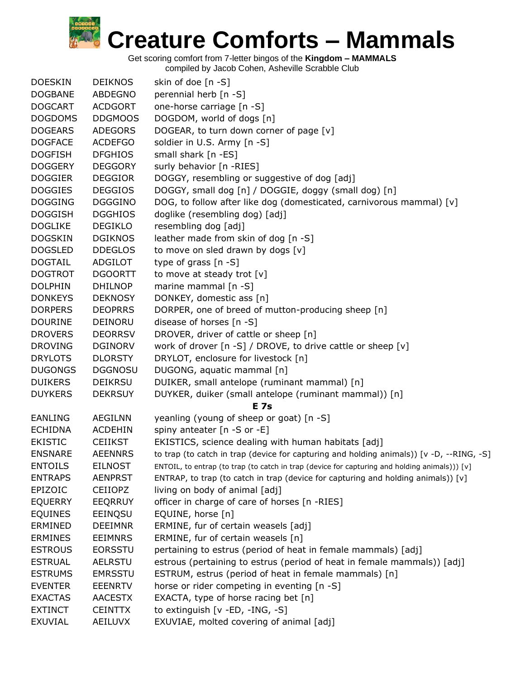Get scoring comfort from 7-letter bingos of the **Kingdom – MAMMALS**

| <b>DOESKIN</b> | <b>DEIKNOS</b> | skin of doe $[n -S]$                                                                          |
|----------------|----------------|-----------------------------------------------------------------------------------------------|
| <b>DOGBANE</b> | ABDEGNO        | perennial herb [n -S]                                                                         |
| <b>DOGCART</b> | <b>ACDGORT</b> | one-horse carriage [n -S]                                                                     |
| <b>DOGDOMS</b> | <b>DDGMOOS</b> | DOGDOM, world of dogs [n]                                                                     |
| <b>DOGEARS</b> | <b>ADEGORS</b> | DOGEAR, to turn down corner of page [v]                                                       |
| <b>DOGFACE</b> | <b>ACDEFGO</b> | soldier in U.S. Army [n -S]                                                                   |
| <b>DOGFISH</b> | <b>DFGHIOS</b> | small shark $[n - ES]$                                                                        |
| <b>DOGGERY</b> | <b>DEGGORY</b> | surly behavior [n -RIES]                                                                      |
| <b>DOGGIER</b> | <b>DEGGIOR</b> | DOGGY, resembling or suggestive of dog [adj]                                                  |
| <b>DOGGIES</b> | <b>DEGGIOS</b> | DOGGY, small dog [n] / DOGGIE, doggy (small dog) [n]                                          |
| <b>DOGGING</b> | <b>DGGGINO</b> | DOG, to follow after like dog (domesticated, carnivorous mammal) [v]                          |
| <b>DOGGISH</b> | <b>DGGHIOS</b> | doglike (resembling dog) [adj]                                                                |
| <b>DOGLIKE</b> | <b>DEGIKLO</b> | resembling dog [adj]                                                                          |
| <b>DOGSKIN</b> | <b>DGIKNOS</b> | leather made from skin of dog [n -S]                                                          |
| <b>DOGSLED</b> | <b>DDEGLOS</b> | to move on sled drawn by dogs [v]                                                             |
| <b>DOGTAIL</b> | <b>ADGILOT</b> | type of grass $[n - S]$                                                                       |
| <b>DOGTROT</b> | <b>DGOORTT</b> | to move at steady trot [v]                                                                    |
| <b>DOLPHIN</b> | <b>DHILNOP</b> | marine mammal [n -S]                                                                          |
| <b>DONKEYS</b> | <b>DEKNOSY</b> | DONKEY, domestic ass [n]                                                                      |
| <b>DORPERS</b> | <b>DEOPRRS</b> | DORPER, one of breed of mutton-producing sheep [n]                                            |
| <b>DOURINE</b> | DEINORU        | disease of horses [n -S]                                                                      |
| <b>DROVERS</b> | <b>DEORRSV</b> | DROVER, driver of cattle or sheep [n]                                                         |
| <b>DROVING</b> | <b>DGINORV</b> | work of drover $[n - S]$ / DROVE, to drive cattle or sheep $[v]$                              |
| <b>DRYLOTS</b> | <b>DLORSTY</b> | DRYLOT, enclosure for livestock [n]                                                           |
| <b>DUGONGS</b> | <b>DGGNOSU</b> | DUGONG, aquatic mammal [n]                                                                    |
| <b>DUIKERS</b> | <b>DEIKRSU</b> | DUIKER, small antelope (ruminant mammal) [n]                                                  |
| <b>DUYKERS</b> | <b>DEKRSUY</b> | DUYKER, duiker (small antelope (ruminant mammal)) [n]                                         |
|                |                | <b>E</b> 7s                                                                                   |
| <b>EANLING</b> | <b>AEGILNN</b> | yeanling (young of sheep or goat) [n -S]                                                      |
| <b>ECHIDNA</b> | <b>ACDEHIN</b> | spiny anteater [n -S or -E]                                                                   |
| <b>EKISTIC</b> | <b>CEIIKST</b> | EKISTICS, science dealing with human habitats [adj]                                           |
| <b>ENSNARE</b> | <b>AEENNRS</b> | to trap (to catch in trap (device for capturing and holding animals)) [v -D, --RING, -S]      |
| <b>ENTOILS</b> | <b>EILNOST</b> | ENTOIL, to entrap (to trap (to catch in trap (device for capturing and holding animals))) [v] |
| <b>ENTRAPS</b> | <b>AENPRST</b> | ENTRAP, to trap (to catch in trap (device for capturing and holding animals)) [v]             |
| EPIZOIC        | <b>CEIIOPZ</b> | living on body of animal [adj]                                                                |
| <b>EQUERRY</b> | <b>EEQRRUY</b> | officer in charge of care of horses [n -RIES]                                                 |
| <b>EQUINES</b> | EEINQSU        | EQUINE, horse [n]                                                                             |
| <b>ERMINED</b> | <b>DEEIMNR</b> | ERMINE, fur of certain weasels [adj]                                                          |
| <b>ERMINES</b> | <b>EEIMNRS</b> | ERMINE, fur of certain weasels [n]                                                            |
| <b>ESTROUS</b> | <b>EORSSTU</b> | pertaining to estrus (period of heat in female mammals) [adj]                                 |
| <b>ESTRUAL</b> | <b>AELRSTU</b> | estrous (pertaining to estrus (period of heat in female mammals)) [adj]                       |
| <b>ESTRUMS</b> | <b>EMRSSTU</b> | ESTRUM, estrus (period of heat in female mammals) [n]                                         |
| <b>EVENTER</b> | <b>EEENRTV</b> | horse or rider competing in eventing [n -S]                                                   |
| <b>EXACTAS</b> | <b>AACESTX</b> | EXACTA, type of horse racing bet [n]                                                          |
| <b>EXTINCT</b> | <b>CEINTTX</b> | to extinguish [v -ED, -ING, -S]                                                               |
| EXUVIAL        | AEILUVX        | EXUVIAE, molted covering of animal [adj]                                                      |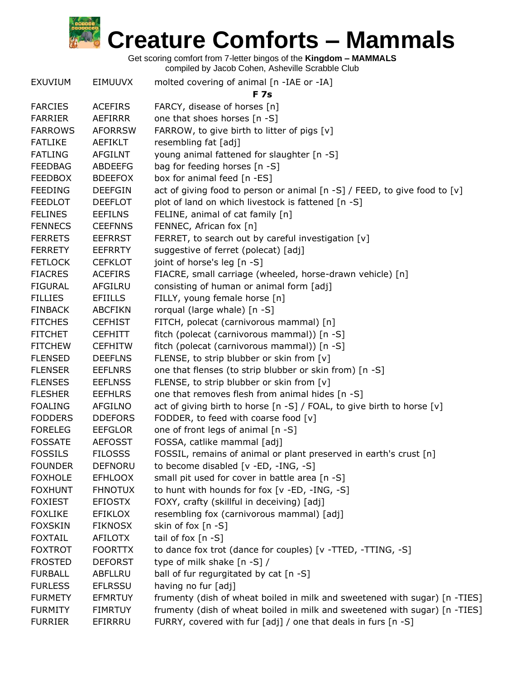Get scoring comfort from 7-letter bingos of the **Kingdom – MAMMALS**

| <b>EXUVIUM</b> | <b>EIMUUVX</b> | molted covering of animal [n -IAE or -IA]                                  |
|----------------|----------------|----------------------------------------------------------------------------|
|                |                | <b>F</b> 7s                                                                |
| <b>FARCIES</b> | <b>ACEFIRS</b> | FARCY, disease of horses [n]                                               |
| <b>FARRIER</b> | <b>AEFIRRR</b> | one that shoes horses [n -S]                                               |
| <b>FARROWS</b> | <b>AFORRSW</b> | FARROW, to give birth to litter of pigs [v]                                |
| <b>FATLIKE</b> | AEFIKLT        | resembling fat [adj]                                                       |
| <b>FATLING</b> | <b>AFGILNT</b> | young animal fattened for slaughter [n -S]                                 |
| <b>FEEDBAG</b> | <b>ABDEEFG</b> | bag for feeding horses [n -S]                                              |
| <b>FEEDBOX</b> | <b>BDEEFOX</b> | box for animal feed [n -ES]                                                |
| <b>FEEDING</b> | <b>DEEFGIN</b> | act of giving food to person or animal [n -S] / FEED, to give food to [v]  |
| <b>FEEDLOT</b> | <b>DEEFLOT</b> | plot of land on which livestock is fattened [n -S]                         |
| <b>FELINES</b> | <b>EEFILNS</b> | FELINE, animal of cat family [n]                                           |
| <b>FENNECS</b> | <b>CEEFNNS</b> | FENNEC, African fox [n]                                                    |
| <b>FERRETS</b> | <b>EEFRRST</b> | FERRET, to search out by careful investigation [v]                         |
| <b>FERRETY</b> | <b>EEFRRTY</b> | suggestive of ferret (polecat) [adj]                                       |
| <b>FETLOCK</b> | <b>CEFKLOT</b> | joint of horse's leg [n -S]                                                |
| <b>FIACRES</b> | <b>ACEFIRS</b> | FIACRE, small carriage (wheeled, horse-drawn vehicle) [n]                  |
| <b>FIGURAL</b> | <b>AFGILRU</b> | consisting of human or animal form [adj]                                   |
| <b>FILLIES</b> | <b>EFIILLS</b> | FILLY, young female horse [n]                                              |
| <b>FINBACK</b> | <b>ABCFIKN</b> | rorqual (large whale) [n -S]                                               |
| <b>FITCHES</b> | <b>CEFHIST</b> | FITCH, polecat (carnivorous mammal) [n]                                    |
| <b>FITCHET</b> | <b>CEFHITT</b> | fitch (polecat (carnivorous mammal)) [n -S]                                |
| <b>FITCHEW</b> | <b>CEFHITW</b> | fitch (polecat (carnivorous mammal)) [n -S]                                |
| <b>FLENSED</b> | <b>DEEFLNS</b> | FLENSE, to strip blubber or skin from [v]                                  |
| <b>FLENSER</b> | <b>EEFLNRS</b> | one that flenses (to strip blubber or skin from) [n -S]                    |
| <b>FLENSES</b> | <b>EEFLNSS</b> | FLENSE, to strip blubber or skin from [v]                                  |
| <b>FLESHER</b> | <b>EEFHLRS</b> | one that removes flesh from animal hides [n -S]                            |
| <b>FOALING</b> | <b>AFGILNO</b> | act of giving birth to horse [n -S] / FOAL, to give birth to horse [v]     |
| <b>FODDERS</b> | <b>DDEFORS</b> | FODDER, to feed with coarse food [v]                                       |
| <b>FORELEG</b> | <b>EEFGLOR</b> | one of front legs of animal [n -S]                                         |
| <b>FOSSATE</b> | <b>AEFOSST</b> | FOSSA, catlike mammal [adj]                                                |
| <b>FOSSILS</b> | <b>FILOSSS</b> | FOSSIL, remains of animal or plant preserved in earth's crust [n]          |
| <b>FOUNDER</b> | <b>DEFNORU</b> | to become disabled [v -ED, -ING, -S]                                       |
| <b>FOXHOLE</b> | <b>EFHLOOX</b> | small pit used for cover in battle area [n -S]                             |
| <b>FOXHUNT</b> | <b>FHNOTUX</b> | to hunt with hounds for fox [v -ED, -ING, -S]                              |
| <b>FOXIEST</b> | <b>EFIOSTX</b> | FOXY, crafty (skillful in deceiving) [adj]                                 |
| <b>FOXLIKE</b> | <b>EFIKLOX</b> | resembling fox (carnivorous mammal) [adj]                                  |
| <b>FOXSKIN</b> | <b>FIKNOSX</b> | skin of fox [n -S]                                                         |
| <b>FOXTAIL</b> | <b>AFILOTX</b> | tail of fox $[n -S]$                                                       |
| <b>FOXTROT</b> | <b>FOORTTX</b> | to dance fox trot (dance for couples) [v -TTED, -TTING, -S]                |
| <b>FROSTED</b> | <b>DEFORST</b> | type of milk shake [n -S] /                                                |
| <b>FURBALL</b> | <b>ABFLLRU</b> | ball of fur regurgitated by cat [n -S]                                     |
| <b>FURLESS</b> | <b>EFLRSSU</b> | having no fur [adj]                                                        |
| <b>FURMETY</b> | <b>EFMRTUY</b> | frumenty (dish of wheat boiled in milk and sweetened with sugar) [n -TIES] |
| <b>FURMITY</b> | <b>FIMRTUY</b> | frumenty (dish of wheat boiled in milk and sweetened with sugar) [n -TIES] |
| <b>FURRIER</b> | EFIRRRU        | FURRY, covered with fur [adj] / one that deals in furs [n -S]              |
|                |                |                                                                            |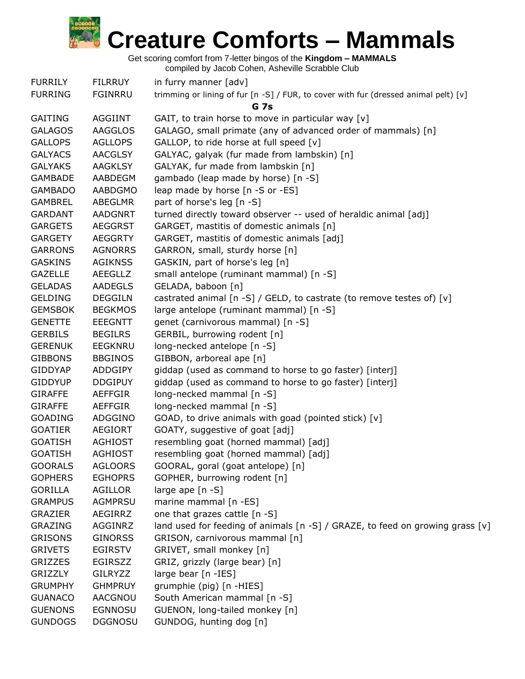Get scoring comfort from 7-letter bingos of the **Kingdom – MAMMALS**

| <b>FURRILY</b> | <b>FILRRUY</b> | in furry manner [adv]                                                               |
|----------------|----------------|-------------------------------------------------------------------------------------|
| <b>FURRING</b> | <b>FGINRRU</b> | trimming or lining of fur [n -S] / FUR, to cover with fur (dressed animal pelt) [v] |
|                |                | <b>G</b> 7s                                                                         |
| <b>GAITING</b> | <b>AGGIINT</b> | GAIT, to train horse to move in particular way [v]                                  |
| <b>GALAGOS</b> | <b>AAGGLOS</b> | GALAGO, small primate (any of advanced order of mammals) [n]                        |
| <b>GALLOPS</b> | <b>AGLLOPS</b> | GALLOP, to ride horse at full speed [v]                                             |
| <b>GALYACS</b> | <b>AACGLSY</b> | GALYAC, galyak (fur made from lambskin) [n]                                         |
| <b>GALYAKS</b> | <b>AAGKLSY</b> | GALYAK, fur made from lambskin [n]                                                  |
| <b>GAMBADE</b> | AABDEGM        | gambado (leap made by horse) [n -S]                                                 |
| <b>GAMBADO</b> | <b>AABDGMO</b> | leap made by horse [n -S or -ES]                                                    |
| <b>GAMBREL</b> | <b>ABEGLMR</b> | part of horse's leg [n -S]                                                          |
| <b>GARDANT</b> | <b>AADGNRT</b> | turned directly toward observer -- used of heraldic animal [adj]                    |
| <b>GARGETS</b> | <b>AEGGRST</b> | GARGET, mastitis of domestic animals [n]                                            |
| <b>GARGETY</b> | <b>AEGGRTY</b> | GARGET, mastitis of domestic animals [adj]                                          |
| <b>GARRONS</b> | <b>AGNORRS</b> | GARRON, small, sturdy horse [n]                                                     |
| <b>GASKINS</b> | <b>AGIKNSS</b> | GASKIN, part of horse's leg [n]                                                     |
| <b>GAZELLE</b> | <b>AEEGLLZ</b> | small antelope (ruminant mammal) [n -S]                                             |
| <b>GELADAS</b> | <b>AADEGLS</b> | GELADA, baboon [n]                                                                  |
| <b>GELDING</b> | <b>DEGGILN</b> | castrated animal [n -S] / GELD, to castrate (to remove testes of) [v]               |
| <b>GEMSBOK</b> | <b>BEGKMOS</b> | large antelope (ruminant mammal) [n -S]                                             |
| <b>GENETTE</b> | <b>EEEGNTT</b> | genet (carnivorous mammal) [n -S]                                                   |
| <b>GERBILS</b> | <b>BEGILRS</b> | GERBIL, burrowing rodent [n]                                                        |
| <b>GERENUK</b> | <b>EEGKNRU</b> | long-necked antelope [n -S]                                                         |
| <b>GIBBONS</b> | <b>BBGINOS</b> | GIBBON, arboreal ape [n]                                                            |
| <b>GIDDYAP</b> | <b>ADDGIPY</b> | giddap (used as command to horse to go faster) [interj]                             |
| <b>GIDDYUP</b> | <b>DDGIPUY</b> | giddap (used as command to horse to go faster) [interj]                             |
| <b>GIRAFFE</b> | AEFFGIR        | long-necked mammal [n -S]                                                           |
| <b>GIRAFFE</b> | AEFFGIR        | long-necked mammal [n -S]                                                           |
| <b>GOADING</b> | ADGGINO        | GOAD, to drive animals with goad (pointed stick) [v]                                |
| <b>GOATIER</b> | <b>AEGIORT</b> | GOATY, suggestive of goat [adj]                                                     |
| <b>GOATISH</b> | <b>AGHIOST</b> | resembling goat (horned mammal) [adj]                                               |
| <b>GOATISH</b> | <b>AGHIOST</b> | resembling goat (horned mammal) [adj]                                               |
| <b>GOORALS</b> | <b>AGLOORS</b> | GOORAL, goral (goat antelope) [n]                                                   |
| <b>GOPHERS</b> | <b>EGHOPRS</b> | GOPHER, burrowing rodent [n]                                                        |
| <b>GORILLA</b> | AGILLOR        | large ape [n -S]                                                                    |
| <b>GRAMPUS</b> | AGMPRSU        | marine mammal [n -ES]                                                               |
| <b>GRAZIER</b> | AEGIRRZ        | one that grazes cattle [n -S]                                                       |
| <b>GRAZING</b> | AGGINRZ        | land used for feeding of animals $[n -S]$ / GRAZE, to feed on growing grass $[v]$   |
| <b>GRISONS</b> | <b>GINORSS</b> | GRISON, carnivorous mammal [n]                                                      |
| <b>GRIVETS</b> | <b>EGIRSTV</b> | GRIVET, small monkey [n]                                                            |
| <b>GRIZZES</b> | <b>EGIRSZZ</b> | GRIZ, grizzly (large bear) [n]                                                      |
| <b>GRIZZLY</b> | <b>GILRYZZ</b> | large bear [n -IES]                                                                 |
| <b>GRUMPHY</b> | <b>GHMPRUY</b> | grumphie (pig) [n -HIES]                                                            |
|                |                |                                                                                     |
| <b>GUANACO</b> | AACGNOU        | South American mammal [n -S]                                                        |
| <b>GUENONS</b> | EGNNOSU        | GUENON, long-tailed monkey [n]                                                      |
| <b>GUNDOGS</b> | <b>DGGNOSU</b> | GUNDOG, hunting dog [n]                                                             |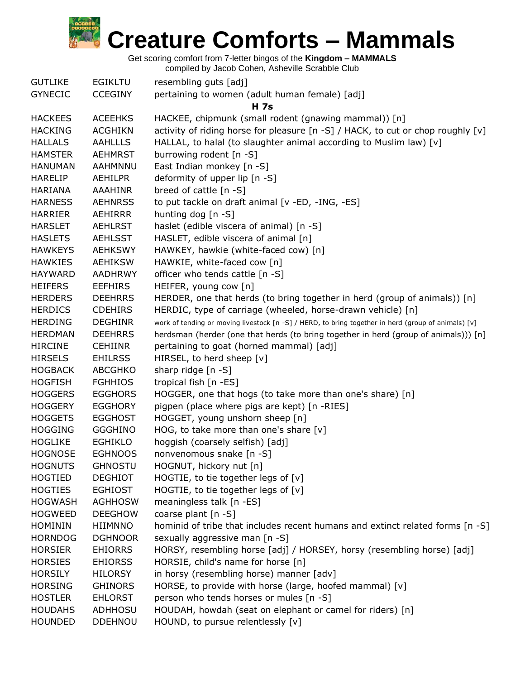

Get scoring comfort from 7-letter bingos of the **Kingdom – MAMMALS**

| <b>GUTLIKE</b> | <b>EGIKLTU</b> | resembling guts [adj]                                                                               |
|----------------|----------------|-----------------------------------------------------------------------------------------------------|
| <b>GYNECIC</b> | <b>CCEGINY</b> | pertaining to women (adult human female) [adj]                                                      |
|                |                | <b>H</b> 7s                                                                                         |
| <b>HACKEES</b> | <b>ACEEHKS</b> | HACKEE, chipmunk (small rodent (gnawing mammal)) [n]                                                |
| <b>HACKING</b> | <b>ACGHIKN</b> | activity of riding horse for pleasure [n -S] / HACK, to cut or chop roughly $[v]$                   |
| <b>HALLALS</b> | <b>AAHLLLS</b> | HALLAL, to halal (to slaughter animal according to Muslim law) [v]                                  |
| <b>HAMSTER</b> | <b>AEHMRST</b> | burrowing rodent [n -S]                                                                             |
| <b>HANUMAN</b> | <b>AAHMNNU</b> | East Indian monkey [n -S]                                                                           |
| <b>HARELIP</b> | <b>AEHILPR</b> | deformity of upper lip [n -S]                                                                       |
| <b>HARIANA</b> | AAAHINR        | breed of cattle [n -S]                                                                              |
| <b>HARNESS</b> | <b>AEHNRSS</b> | to put tackle on draft animal [v -ED, -ING, -ES]                                                    |
| <b>HARRIER</b> | AEHIRRR        | hunting dog $[n - S]$                                                                               |
| <b>HARSLET</b> | <b>AEHLRST</b> | haslet (edible viscera of animal) [n -S]                                                            |
| <b>HASLETS</b> | <b>AEHLSST</b> | HASLET, edible viscera of animal [n]                                                                |
| <b>HAWKEYS</b> | <b>AEHKSWY</b> | HAWKEY, hawkie (white-faced cow) [n]                                                                |
| <b>HAWKIES</b> | <b>AEHIKSW</b> | HAWKIE, white-faced cow [n]                                                                         |
| <b>HAYWARD</b> | <b>AADHRWY</b> | officer who tends cattle [n -S]                                                                     |
| <b>HEIFERS</b> | <b>EEFHIRS</b> | HEIFER, young cow [n]                                                                               |
| <b>HERDERS</b> | <b>DEEHRRS</b> | HERDER, one that herds (to bring together in herd (group of animals)) [n]                           |
| <b>HERDICS</b> | <b>CDEHIRS</b> | HERDIC, type of carriage (wheeled, horse-drawn vehicle) [n]                                         |
| <b>HERDING</b> | <b>DEGHINR</b> | work of tending or moving livestock [n -S] / HERD, to bring together in herd (group of animals) [v] |
| <b>HERDMAN</b> | <b>DEEHRRS</b> | herdsman (herder (one that herds (to bring together in herd (group of animals))) [n]                |
| <b>HIRCINE</b> | <b>CEHIINR</b> | pertaining to goat (horned mammal) [adj]                                                            |
| <b>HIRSELS</b> | <b>EHILRSS</b> | HIRSEL, to herd sheep [v]                                                                           |
| <b>HOGBACK</b> | <b>ABCGHKO</b> | sharp ridge [n -S]                                                                                  |
| <b>HOGFISH</b> | <b>FGHHIOS</b> | tropical fish [n -ES]                                                                               |
| <b>HOGGERS</b> | <b>EGGHORS</b> | HOGGER, one that hogs (to take more than one's share) [n]                                           |
| <b>HOGGERY</b> | <b>EGGHORY</b> | pigpen (place where pigs are kept) [n -RIES]                                                        |
| <b>HOGGETS</b> | <b>EGGHOST</b> | HOGGET, young unshorn sheep [n]                                                                     |
| <b>HOGGING</b> | <b>GGGHINO</b> | HOG, to take more than one's share $[v]$                                                            |
| <b>HOGLIKE</b> | <b>EGHIKLO</b> | hoggish (coarsely selfish) [adj]                                                                    |
| <b>HOGNOSE</b> | <b>EGHNOOS</b> | nonvenomous snake [n -S]                                                                            |
| <b>HOGNUTS</b> | <b>GHNOSTU</b> | HOGNUT, hickory nut [n]                                                                             |
| <b>HOGTIED</b> | <b>DEGHIOT</b> | HOGTIE, to tie together legs of [v]                                                                 |
| <b>HOGTIES</b> | <b>EGHIOST</b> | HOGTIE, to tie together legs of [v]                                                                 |
| <b>HOGWASH</b> | <b>AGHHOSW</b> | meaningless talk [n -ES]                                                                            |
| <b>HOGWEED</b> | <b>DEEGHOW</b> | coarse plant [n -S]                                                                                 |
| <b>HOMININ</b> | HIIMNNO        | hominid of tribe that includes recent humans and extinct related forms [n -S]                       |
| <b>HORNDOG</b> | <b>DGHNOOR</b> | sexually aggressive man [n -S]                                                                      |
| <b>HORSIER</b> | <b>EHIORRS</b> | HORSY, resembling horse [adj] / HORSEY, horsy (resembling horse) [adj]                              |
| <b>HORSIES</b> | <b>EHIORSS</b> | HORSIE, child's name for horse [n]                                                                  |
| <b>HORSILY</b> | <b>HILORSY</b> | in horsy (resembling horse) manner [adv]                                                            |
| <b>HORSING</b> | <b>GHINORS</b> | HORSE, to provide with horse (large, hoofed mammal) [v]                                             |
| <b>HOSTLER</b> | <b>EHLORST</b> | person who tends horses or mules [n -S]                                                             |
| <b>HOUDAHS</b> | <b>ADHHOSU</b> | HOUDAH, howdah (seat on elephant or camel for riders) [n]                                           |
| <b>HOUNDED</b> | <b>DDEHNOU</b> | HOUND, to pursue relentlessly [v]                                                                   |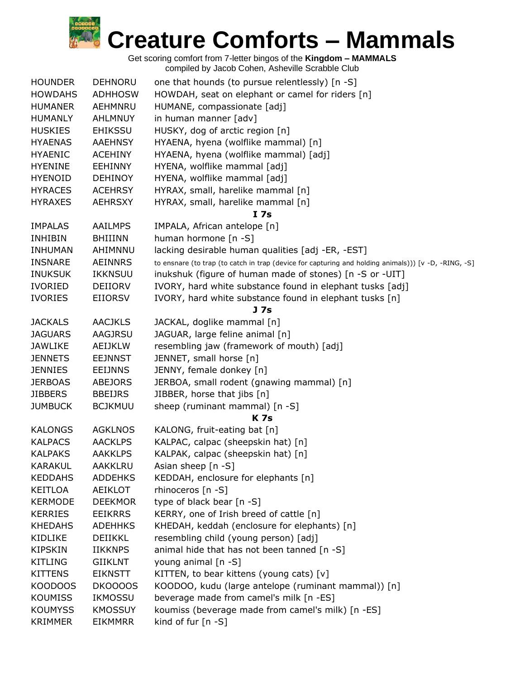

| <b>HOUNDER</b> | <b>DEHNORU</b> | one that hounds (to pursue relentlessly) [n -S]                                                      |
|----------------|----------------|------------------------------------------------------------------------------------------------------|
| <b>HOWDAHS</b> | <b>ADHHOSW</b> | HOWDAH, seat on elephant or camel for riders [n]                                                     |
| <b>HUMANER</b> | AEHMNRU        | HUMANE, compassionate [adj]                                                                          |
| <b>HUMANLY</b> | <b>AHLMNUY</b> | in human manner [adv]                                                                                |
| <b>HUSKIES</b> | <b>EHIKSSU</b> | HUSKY, dog of arctic region [n]                                                                      |
| <b>HYAENAS</b> | <b>AAEHNSY</b> | HYAENA, hyena (wolflike mammal) [n]                                                                  |
| <b>HYAENIC</b> | <b>ACEHINY</b> | HYAENA, hyena (wolflike mammal) [adj]                                                                |
| <b>HYENINE</b> | <b>EEHINNY</b> | HYENA, wolflike mammal [adj]                                                                         |
| <b>HYENOID</b> | <b>DEHINOY</b> | HYENA, wolflike mammal [adj]                                                                         |
| <b>HYRACES</b> | <b>ACEHRSY</b> | HYRAX, small, harelike mammal [n]                                                                    |
| <b>HYRAXES</b> | <b>AEHRSXY</b> | HYRAX, small, harelike mammal [n]                                                                    |
|                |                | I 7s                                                                                                 |
| <b>IMPALAS</b> | <b>AAILMPS</b> | IMPALA, African antelope [n]                                                                         |
| <b>INHIBIN</b> | <b>BHIIINN</b> | human hormone [n -S]                                                                                 |
| <b>INHUMAN</b> | AHIMNNU        | lacking desirable human qualities [adj -ER, -EST]                                                    |
| <b>INSNARE</b> | <b>AEINNRS</b> | to ensnare (to trap (to catch in trap (device for capturing and holding animals))) [v -D, -RING, -S] |
| <b>INUKSUK</b> | <b>IKKNSUU</b> | inukshuk (figure of human made of stones) [n -S or -UIT]                                             |
| <b>IVORIED</b> | DEIIORV        | IVORY, hard white substance found in elephant tusks [adj]                                            |
|                |                | IVORY, hard white substance found in elephant tusks [n]                                              |
| <b>IVORIES</b> | <b>EIIORSV</b> | J 7s                                                                                                 |
| <b>JACKALS</b> | <b>AACJKLS</b> | JACKAL, doglike mammal [n]                                                                           |
| <b>JAGUARS</b> | AAGJRSU        | JAGUAR, large feline animal [n]                                                                      |
| <b>JAWLIKE</b> | <b>AEIJKLW</b> | resembling jaw (framework of mouth) [adj]                                                            |
|                |                |                                                                                                      |
| <b>JENNETS</b> | <b>EEJNNST</b> | JENNET, small horse [n]                                                                              |
| <b>JENNIES</b> | <b>EEIJNNS</b> | JENNY, female donkey [n]                                                                             |
| <b>JERBOAS</b> | <b>ABEJORS</b> | JERBOA, small rodent (gnawing mammal) [n]                                                            |
| <b>JIBBERS</b> | <b>BBEIJRS</b> | JIBBER, horse that jibs [n]                                                                          |
| <b>JUMBUCK</b> | <b>BCJKMUU</b> | sheep (ruminant mammal) [n -S]                                                                       |
|                |                | <b>K7s</b>                                                                                           |
| <b>KALONGS</b> | <b>AGKLNOS</b> | KALONG, fruit-eating bat [n]                                                                         |
| <b>KALPACS</b> | <b>AACKLPS</b> | KALPAC, calpac (sheepskin hat) [n]                                                                   |
| <b>KALPAKS</b> | <b>AAKKLPS</b> | KALPAK, calpac (sheepskin hat) [n]                                                                   |
| <b>KARAKUL</b> | AAKKLRU        | Asian sheep $[n -S]$                                                                                 |
| <b>KEDDAHS</b> | <b>ADDEHKS</b> | KEDDAH, enclosure for elephants [n]                                                                  |
| <b>KEITLOA</b> | <b>AEIKLOT</b> | rhinoceros [n -S]                                                                                    |
| <b>KERMODE</b> | <b>DEEKMOR</b> | type of black bear [n -S]                                                                            |
| <b>KERRIES</b> | <b>EEIKRRS</b> | KERRY, one of Irish breed of cattle [n]                                                              |
| <b>KHEDAHS</b> | <b>ADEHHKS</b> | KHEDAH, keddah (enclosure for elephants) [n]                                                         |
| <b>KIDLIKE</b> | DEIIKKL        | resembling child (young person) [adj]                                                                |
| <b>KIPSKIN</b> | <b>IIKKNPS</b> | animal hide that has not been tanned [n -S]                                                          |
| KITLING        | <b>GIIKLNT</b> | young animal [n -S]                                                                                  |
| <b>KITTENS</b> | <b>EIKNSTT</b> | KITTEN, to bear kittens (young cats) $[v]$                                                           |
| KOODOOS        | DKOOOOS        | KOODOO, kudu (large antelope (ruminant mammal)) [n]                                                  |
| <b>KOUMISS</b> | IKMOSSU        | beverage made from camel's milk [n -ES]                                                              |
| <b>KOUMYSS</b> | <b>KMOSSUY</b> | koumiss (beverage made from camel's milk) [n -ES]                                                    |
| <b>KRIMMER</b> | <b>EIKMMRR</b> | kind of fur [n -S]                                                                                   |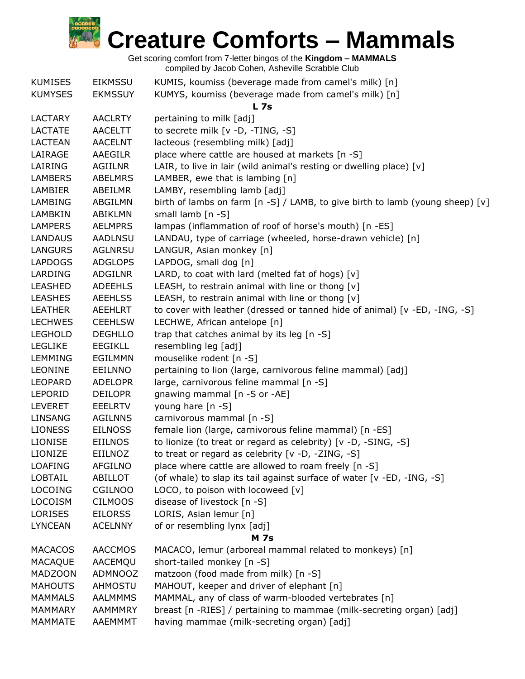

| <b>KUMISES</b> | <b>EIKMSSU</b> | KUMIS, koumiss (beverage made from camel's milk) [n]                             |
|----------------|----------------|----------------------------------------------------------------------------------|
| <b>KUMYSES</b> | <b>EKMSSUY</b> | KUMYS, koumiss (beverage made from camel's milk) [n]                             |
|                |                | L <sub>7s</sub>                                                                  |
| <b>LACTARY</b> | <b>AACLRTY</b> | pertaining to milk [adj]                                                         |
| <b>LACTATE</b> | <b>AACELTT</b> | to secrete milk [v -D, -TING, -S]                                                |
| <b>LACTEAN</b> | <b>AACELNT</b> | lacteous (resembling milk) [adj]                                                 |
| LAIRAGE        | AAEGILR        | place where cattle are housed at markets [n -S]                                  |
| LAIRING        | <b>AGIILNR</b> | LAIR, to live in lair (wild animal's resting or dwelling place) [v]              |
| <b>LAMBERS</b> | <b>ABELMRS</b> | LAMBER, ewe that is lambing [n]                                                  |
| <b>LAMBIER</b> | ABEILMR        | LAMBY, resembling lamb [adj]                                                     |
| <b>LAMBING</b> | ABGILMN        | birth of lambs on farm $[n -S] / LAMB$ , to give birth to lamb (young sheep) [v] |
| LAMBKIN        | ABIKLMN        | small lamb [n -S]                                                                |
| <b>LAMPERS</b> | <b>AELMPRS</b> | lampas (inflammation of roof of horse's mouth) [n -ES]                           |
| LANDAUS        | AADLNSU        | LANDAU, type of carriage (wheeled, horse-drawn vehicle) [n]                      |
| <b>LANGURS</b> | <b>AGLNRSU</b> | LANGUR, Asian monkey [n]                                                         |
| <b>LAPDOGS</b> | <b>ADGLOPS</b> | LAPDOG, small dog [n]                                                            |
| LARDING        | <b>ADGILNR</b> | LARD, to coat with lard (melted fat of hogs) $[v]$                               |
| <b>LEASHED</b> | <b>ADEEHLS</b> | LEASH, to restrain animal with line or thong [v]                                 |
| <b>LEASHES</b> | <b>AEEHLSS</b> | LEASH, to restrain animal with line or thong $[v]$                               |
| <b>LEATHER</b> | AEEHLRT        | to cover with leather (dressed or tanned hide of animal) [v -ED, -ING, -S]       |
| <b>LECHWES</b> | <b>CEEHLSW</b> | LECHWE, African antelope [n]                                                     |
| <b>LEGHOLD</b> | <b>DEGHLLO</b> | trap that catches animal by its leg [n -S]                                       |
| <b>LEGLIKE</b> | <b>EEGIKLL</b> | resembling leg [adj]                                                             |
| <b>LEMMING</b> | <b>EGILMMN</b> | mouselike rodent [n -S]                                                          |
| LEONINE        | <b>EEILNNO</b> | pertaining to lion (large, carnivorous feline mammal) [adj]                      |
| <b>LEOPARD</b> | <b>ADELOPR</b> | large, carnivorous feline mammal [n -S]                                          |
| LEPORID        | <b>DEILOPR</b> | gnawing mammal [n -S or -AE]                                                     |
| <b>LEVERET</b> | <b>EEELRTV</b> | young hare [n -S]                                                                |
| LINSANG        | <b>AGILNNS</b> | carnivorous mammal [n -S]                                                        |
| <b>LIONESS</b> | <b>EILNOSS</b> | female lion (large, carnivorous feline mammal) [n -ES]                           |
| <b>LIONISE</b> | <b>EIILNOS</b> | to lionize (to treat or regard as celebrity) [v -D, -SING, -S]                   |
| LIONIZE        | EIILNOZ        | to treat or regard as celebrity [v -D, -ZING, -S]                                |
| <b>LOAFING</b> | <b>AFGILNO</b> | place where cattle are allowed to roam freely [n -S]                             |
| <b>LOBTAIL</b> | <b>ABILLOT</b> | (of whale) to slap its tail against surface of water [v -ED, -ING, -S]           |
| <b>LOCOING</b> | <b>CGILNOO</b> | LOCO, to poison with locoweed [v]                                                |
| <b>LOCOISM</b> | <b>CILMOOS</b> | disease of livestock [n -S]                                                      |
| <b>LORISES</b> | <b>EILORSS</b> | LORIS, Asian lemur [n]                                                           |
| <b>LYNCEAN</b> | <b>ACELNNY</b> | of or resembling lynx [adj]                                                      |
|                |                | <b>M</b> 7s                                                                      |
| <b>MACACOS</b> | <b>AACCMOS</b> | MACACO, lemur (arboreal mammal related to monkeys) [n]                           |
| <b>MACAQUE</b> | AACEMQU        | short-tailed monkey [n -S]                                                       |
| <b>MADZOON</b> | <b>ADMNOOZ</b> | matzoon (food made from milk) [n -S]                                             |
| <b>MAHOUTS</b> | <b>AHMOSTU</b> | MAHOUT, keeper and driver of elephant [n]                                        |
| <b>MAMMALS</b> | <b>AALMMMS</b> | MAMMAL, any of class of warm-blooded vertebrates [n]                             |
| <b>MAMMARY</b> | <b>AAMMMRY</b> | breast [n -RIES] / pertaining to mammae (milk-secreting organ) [adj]             |
| MAMMATE        | AAEMMMT        | having mammae (milk-secreting organ) [adj]                                       |
|                |                |                                                                                  |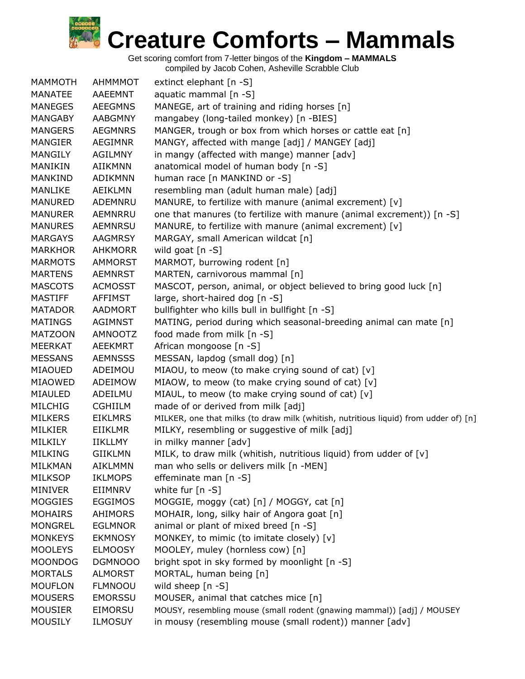| <b>MAMMOTH</b> | AHMMMOT        | extinct elephant [n -S]                                                              |
|----------------|----------------|--------------------------------------------------------------------------------------|
| <b>MANATEE</b> | AAEEMNT        | aquatic mammal [n -S]                                                                |
| <b>MANEGES</b> | <b>AEEGMNS</b> | MANEGE, art of training and riding horses [n]                                        |
| <b>MANGABY</b> | <b>AABGMNY</b> | mangabey (long-tailed monkey) [n -BIES]                                              |
| <b>MANGERS</b> | <b>AEGMNRS</b> | MANGER, trough or box from which horses or cattle eat [n]                            |
| <b>MANGIER</b> | <b>AEGIMNR</b> | MANGY, affected with mange [adj] / MANGEY [adj]                                      |
| <b>MANGILY</b> | <b>AGILMNY</b> | in mangy (affected with mange) manner [adv]                                          |
| MANIKIN        | <b>AIIKMNN</b> | anatomical model of human body [n -S]                                                |
| <b>MANKIND</b> | <b>ADIKMNN</b> | human race [n MANKIND or -S]                                                         |
| <b>MANLIKE</b> | <b>AEIKLMN</b> | resembling man (adult human male) [adj]                                              |
| <b>MANURED</b> | ADEMNRU        | MANURE, to fertilize with manure (animal excrement) [v]                              |
| <b>MANURER</b> | AEMNRRU        | one that manures (to fertilize with manure (animal excrement)) [n -S]                |
| <b>MANURES</b> | <b>AEMNRSU</b> | MANURE, to fertilize with manure (animal excrement) [v]                              |
| <b>MARGAYS</b> | <b>AAGMRSY</b> | MARGAY, small American wildcat [n]                                                   |
| <b>MARKHOR</b> | <b>AHKMORR</b> | wild goat [n -S]                                                                     |
| <b>MARMOTS</b> | <b>AMMORST</b> | MARMOT, burrowing rodent [n]                                                         |
| <b>MARTENS</b> | <b>AEMNRST</b> | MARTEN, carnivorous mammal [n]                                                       |
| <b>MASCOTS</b> | <b>ACMOSST</b> | MASCOT, person, animal, or object believed to bring good luck [n]                    |
| <b>MASTIFF</b> | <b>AFFIMST</b> | large, short-haired dog [n -S]                                                       |
| <b>MATADOR</b> | <b>AADMORT</b> | bullfighter who kills bull in bullfight [n -S]                                       |
| <b>MATINGS</b> | <b>AGIMNST</b> | MATING, period during which seasonal-breeding animal can mate [n]                    |
| <b>MATZOON</b> | AMNOOTZ        | food made from milk [n -S]                                                           |
| <b>MEERKAT</b> | AEEKMRT        | African mongoose [n -S]                                                              |
| <b>MESSANS</b> | <b>AEMNSSS</b> | MESSAN, lapdog (small dog) [n]                                                       |
| MIAOUED        | ADEIMOU        | MIAOU, to meow (to make crying sound of cat) [v]                                     |
| MIAOWED        | ADEIMOW        | MIAOW, to meow (to make crying sound of cat) [v]                                     |
| MIAULED        | ADEILMU        | MIAUL, to meow (to make crying sound of cat) [v]                                     |
| <b>MILCHIG</b> | <b>CGHIILM</b> | made of or derived from milk [adj]                                                   |
| <b>MILKERS</b> | <b>EIKLMRS</b> | MILKER, one that milks (to draw milk (whitish, nutritious liquid) from udder of) [n] |
| MILKIER        | EIIKLMR        | MILKY, resembling or suggestive of milk [adj]                                        |
| MILKILY        | <b>IIKLLMY</b> | in milky manner [adv]                                                                |
| <b>MILKING</b> | <b>GIIKLMN</b> | MILK, to draw milk (whitish, nutritious liquid) from udder of [v]                    |
| MILKMAN        | <b>AIKLMMN</b> | man who sells or delivers milk [n -MEN]                                              |
| <b>MILKSOP</b> | <b>IKLMOPS</b> | effeminate man [n -S]                                                                |
| <b>MINIVER</b> | EIIMNRV        | white fur $[n - S]$                                                                  |
| <b>MOGGIES</b> | <b>EGGIMOS</b> | MOGGIE, moggy (cat) [n] / MOGGY, cat [n]                                             |
| <b>MOHAIRS</b> | <b>AHIMORS</b> | MOHAIR, long, silky hair of Angora goat [n]                                          |
| <b>MONGREL</b> | <b>EGLMNOR</b> | animal or plant of mixed breed [n -S]                                                |
| <b>MONKEYS</b> | <b>EKMNOSY</b> | MONKEY, to mimic (to imitate closely) [v]                                            |
| <b>MOOLEYS</b> | <b>ELMOOSY</b> | MOOLEY, muley (hornless cow) [n]                                                     |
| <b>MOONDOG</b> | DGMNOOO        | bright spot in sky formed by moonlight [n -S]                                        |
| <b>MORTALS</b> | <b>ALMORST</b> | MORTAL, human being [n]                                                              |
| <b>MOUFLON</b> | <b>FLMNOOU</b> | wild sheep [n -S]                                                                    |
| <b>MOUSERS</b> | <b>EMORSSU</b> | MOUSER, animal that catches mice [n]                                                 |
| <b>MOUSIER</b> | <b>EIMORSU</b> | MOUSY, resembling mouse (small rodent (gnawing mammal)) [adj] / MOUSEY               |
| <b>MOUSILY</b> | <b>ILMOSUY</b> | in mousy (resembling mouse (small rodent)) manner [adv]                              |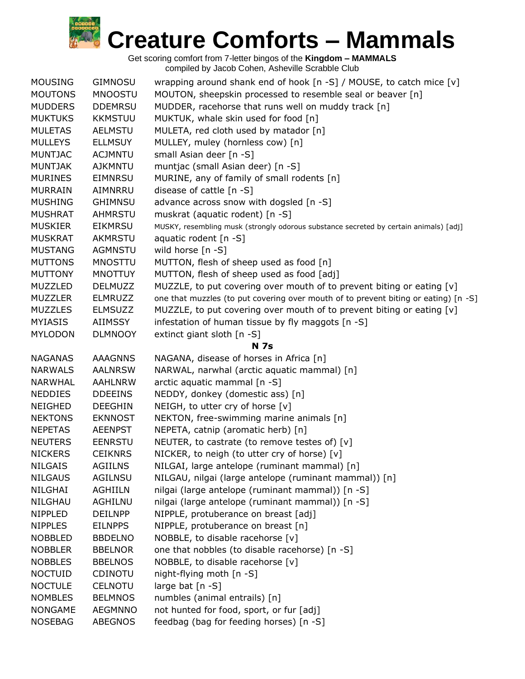| <b>MOUSING</b> | <b>GIMNOSU</b> | wrapping around shank end of hook [n -S] / MOUSE, to catch mice [v]                   |
|----------------|----------------|---------------------------------------------------------------------------------------|
| <b>MOUTONS</b> | <b>MNOOSTU</b> | MOUTON, sheepskin processed to resemble seal or beaver [n]                            |
| <b>MUDDERS</b> | <b>DDEMRSU</b> | MUDDER, racehorse that runs well on muddy track [n]                                   |
| <b>MUKTUKS</b> | <b>KKMSTUU</b> | MUKTUK, whale skin used for food [n]                                                  |
| <b>MULETAS</b> | <b>AELMSTU</b> | MULETA, red cloth used by matador [n]                                                 |
| <b>MULLEYS</b> | <b>ELLMSUY</b> | MULLEY, muley (hornless cow) [n]                                                      |
| <b>MUNTJAC</b> | <b>ACJMNTU</b> | small Asian deer [n -S]                                                               |
| <b>MUNTJAK</b> | <b>AJKMNTU</b> | muntjac (small Asian deer) [n -S]                                                     |
| <b>MURINES</b> | <b>EIMNRSU</b> | MURINE, any of family of small rodents [n]                                            |
| <b>MURRAIN</b> | AIMNRRU        | disease of cattle $[n - S]$                                                           |
| <b>MUSHING</b> | <b>GHIMNSU</b> | advance across snow with dogsled [n -S]                                               |
| <b>MUSHRAT</b> | <b>AHMRSTU</b> | muskrat (aquatic rodent) [n -S]                                                       |
| <b>MUSKIER</b> | <b>EIKMRSU</b> | MUSKY, resembling musk (strongly odorous substance secreted by certain animals) [adj] |
| <b>MUSKRAT</b> | AKMRSTU        | aquatic rodent $[n - S]$                                                              |
| <b>MUSTANG</b> | AGMNSTU        | wild horse [n -S]                                                                     |
| <b>MUTTONS</b> | <b>MNOSTTU</b> | MUTTON, flesh of sheep used as food [n]                                               |
| <b>MUTTONY</b> | <b>MNOTTUY</b> | MUTTON, flesh of sheep used as food [adj]                                             |
| <b>MUZZLED</b> | <b>DELMUZZ</b> | MUZZLE, to put covering over mouth of to prevent biting or eating [v]                 |
| <b>MUZZLER</b> | <b>ELMRUZZ</b> | one that muzzles (to put covering over mouth of to prevent biting or eating) [n -S]   |
| <b>MUZZLES</b> | <b>ELMSUZZ</b> | MUZZLE, to put covering over mouth of to prevent biting or eating [v]                 |
| <b>MYIASIS</b> | AIIMSSY        | infestation of human tissue by fly maggots [n -S]                                     |
| <b>MYLODON</b> | <b>DLMNOOY</b> | extinct giant sloth [n -S]                                                            |
|                |                | <b>N 7s</b>                                                                           |
| <b>NAGANAS</b> | <b>AAAGNNS</b> | NAGANA, disease of horses in Africa [n]                                               |
| <b>NARWALS</b> | <b>AALNRSW</b> | NARWAL, narwhal (arctic aquatic mammal) [n]                                           |
| <b>NARWHAL</b> | <b>AAHLNRW</b> | arctic aquatic mammal [n -S]                                                          |
| <b>NEDDIES</b> | <b>DDEEINS</b> | NEDDY, donkey (domestic ass) [n]                                                      |
| <b>NEIGHED</b> | <b>DEEGHIN</b> | NEIGH, to utter cry of horse [v]                                                      |
| <b>NEKTONS</b> | <b>EKNNOST</b> | NEKTON, free-swimming marine animals [n]                                              |
| <b>NEPETAS</b> | <b>AEENPST</b> | NEPETA, catnip (aromatic herb) [n]                                                    |
| <b>NEUTERS</b> | <b>EENRSTU</b> | NEUTER, to castrate (to remove testes of) [v]                                         |
| <b>NICKERS</b> | <b>CEIKNRS</b> | NICKER, to neigh (to utter cry of horse) [v]                                          |
| <b>NILGAIS</b> | <b>AGIILNS</b> | NILGAI, large antelope (ruminant mammal) [n]                                          |
| <b>NILGAUS</b> | <b>AGILNSU</b> | NILGAU, nilgai (large antelope (ruminant mammal)) [n]                                 |
| NILGHAI        | <b>AGHIILN</b> | nilgai (large antelope (ruminant mammal)) [n -S]                                      |
| NILGHAU        | AGHILNU        | nilgai (large antelope (ruminant mammal)) [n -S]                                      |
| <b>NIPPLED</b> | <b>DEILNPP</b> | NIPPLE, protuberance on breast [adj]                                                  |
| <b>NIPPLES</b> | <b>EILNPPS</b> | NIPPLE, protuberance on breast [n]                                                    |
| <b>NOBBLED</b> | <b>BBDELNO</b> | NOBBLE, to disable racehorse [v]                                                      |
| <b>NOBBLER</b> | <b>BBELNOR</b> | one that nobbles (to disable racehorse) [n -S]                                        |
| <b>NOBBLES</b> | <b>BBELNOS</b> | NOBBLE, to disable racehorse [v]                                                      |
| <b>NOCTUID</b> | <b>CDINOTU</b> | night-flying moth $[n - S]$                                                           |
| <b>NOCTULE</b> | <b>CELNOTU</b> | large bat $[n -S]$                                                                    |
| <b>NOMBLES</b> | <b>BELMNOS</b> | numbles (animal entrails) [n]                                                         |
| <b>NONGAME</b> | <b>AEGMNNO</b> | not hunted for food, sport, or fur [adj]                                              |
| <b>NOSEBAG</b> | ABEGNOS        | feedbag (bag for feeding horses) [n -S]                                               |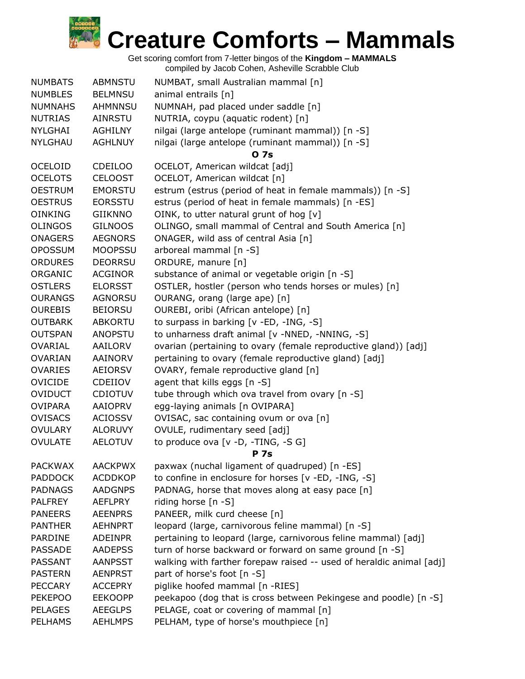

| <b>NUMBATS</b> | <b>ABMNSTU</b> | NUMBAT, small Australian mammal [n]                                  |
|----------------|----------------|----------------------------------------------------------------------|
| <b>NUMBLES</b> | <b>BELMNSU</b> | animal entrails [n]                                                  |
| <b>NUMNAHS</b> | <b>AHMNNSU</b> | NUMNAH, pad placed under saddle [n]                                  |
| <b>NUTRIAS</b> | AINRSTU        | NUTRIA, coypu (aquatic rodent) [n]                                   |
| <b>NYLGHAI</b> | AGHILNY        | nilgai (large antelope (ruminant mammal)) [n -S]                     |
| <b>NYLGHAU</b> | <b>AGHLNUY</b> | nilgai (large antelope (ruminant mammal)) [n -S]                     |
|                |                | 0 7s                                                                 |
| <b>OCELOID</b> | <b>CDEILOO</b> | OCELOT, American wildcat [adj]                                       |
| <b>OCELOTS</b> | <b>CELOOST</b> | OCELOT, American wildcat [n]                                         |
| <b>OESTRUM</b> | <b>EMORSTU</b> | estrum (estrus (period of heat in female mammals)) [n -S]            |
| <b>OESTRUS</b> | <b>EORSSTU</b> | estrus (period of heat in female mammals) [n -ES]                    |
| <b>OINKING</b> | <b>GIIKNNO</b> | OINK, to utter natural grunt of hog [v]                              |
| <b>OLINGOS</b> | <b>GILNOOS</b> | OLINGO, small mammal of Central and South America [n]                |
| <b>ONAGERS</b> | <b>AEGNORS</b> | ONAGER, wild ass of central Asia [n]                                 |
| <b>OPOSSUM</b> | <b>MOOPSSU</b> | arboreal mammal [n -S]                                               |
| <b>ORDURES</b> | <b>DEORRSU</b> | ORDURE, manure [n]                                                   |
| ORGANIC        | <b>ACGINOR</b> | substance of animal or vegetable origin [n -S]                       |
| <b>OSTLERS</b> | <b>ELORSST</b> | OSTLER, hostler (person who tends horses or mules) [n]               |
| <b>OURANGS</b> | AGNORSU        | OURANG, orang (large ape) [n]                                        |
| <b>OUREBIS</b> | <b>BEIORSU</b> | OUREBI, oribi (African antelope) [n]                                 |
| <b>OUTBARK</b> | <b>ABKORTU</b> | to surpass in barking [v -ED, -ING, -S]                              |
| <b>OUTSPAN</b> | ANOPSTU        | to unharness draft animal [v -NNED, -NNING, -S]                      |
| <b>OVARIAL</b> | AAILORV        | ovarian (pertaining to ovary (female reproductive gland)) [adj]      |
| <b>OVARIAN</b> | AAINORV        | pertaining to ovary (female reproductive gland) [adj]                |
| <b>OVARIES</b> | AEIORSV        | OVARY, female reproductive gland [n]                                 |
| <b>OVICIDE</b> | CDEIIOV        | agent that kills eggs [n -S]                                         |
| <b>OVIDUCT</b> | <b>CDIOTUV</b> | tube through which ova travel from ovary [n -S]                      |
| <b>OVIPARA</b> | AAIOPRV        | egg-laying animals [n OVIPARA]                                       |
| <b>OVISACS</b> | <b>ACIOSSV</b> | OVISAC, sac containing ovum or ova [n]                               |
| <b>OVULARY</b> | <b>ALORUVY</b> | OVULE, rudimentary seed [adj]                                        |
| <b>OVULATE</b> | <b>AELOTUV</b> | to produce ova [v -D, -TING, -S G]                                   |
|                |                | <b>P</b> 7s                                                          |
| <b>PACKWAX</b> | <b>AACKPWX</b> | paxwax (nuchal ligament of quadruped) [n -ES]                        |
| <b>PADDOCK</b> | <b>ACDDKOP</b> | to confine in enclosure for horses [v -ED, -ING, -S]                 |
| <b>PADNAGS</b> | <b>AADGNPS</b> | PADNAG, horse that moves along at easy pace [n]                      |
| <b>PALFREY</b> | <b>AEFLPRY</b> | riding horse $[n - S]$                                               |
| <b>PANEERS</b> | <b>AEENPRS</b> | PANEER, milk curd cheese [n]                                         |
| <b>PANTHER</b> | <b>AEHNPRT</b> | leopard (large, carnivorous feline mammal) [n -S]                    |
| <b>PARDINE</b> | <b>ADEINPR</b> | pertaining to leopard (large, carnivorous feline mammal) [adj]       |
| <b>PASSADE</b> | <b>AADEPSS</b> | turn of horse backward or forward on same ground [n -S]              |
| PASSANT        | <b>AANPSST</b> | walking with farther forepaw raised -- used of heraldic animal [adj] |
| <b>PASTERN</b> | <b>AENPRST</b> | part of horse's foot [n -S]                                          |
| <b>PECCARY</b> | <b>ACCEPRY</b> | piglike hoofed mammal [n -RIES]                                      |
| <b>PEKEPOO</b> | <b>EEKOOPP</b> | peekapoo (dog that is cross between Pekingese and poodle) [n -S]     |
| <b>PELAGES</b> | <b>AEEGLPS</b> | PELAGE, coat or covering of mammal [n]                               |
| <b>PELHAMS</b> | <b>AEHLMPS</b> | PELHAM, type of horse's mouthpiece [n]                               |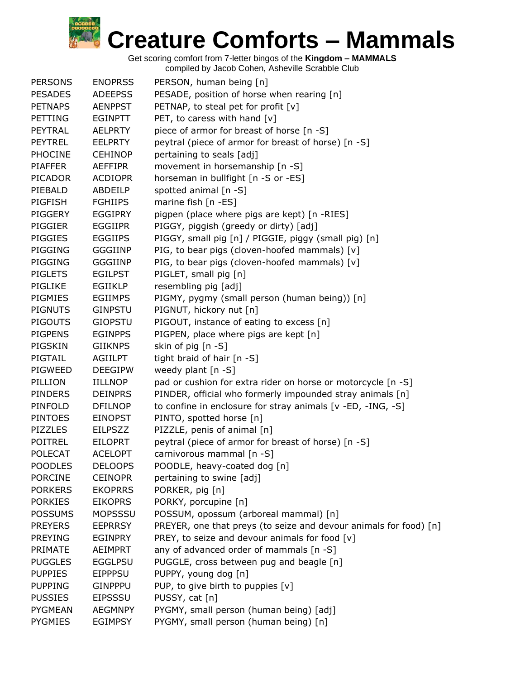| <b>PERSONS</b> | <b>ENOPRSS</b> | PERSON, human being [n]                                           |
|----------------|----------------|-------------------------------------------------------------------|
| <b>PESADES</b> | <b>ADEEPSS</b> | PESADE, position of horse when rearing [n]                        |
| <b>PETNAPS</b> | <b>AENPPST</b> | PETNAP, to steal pet for profit [v]                               |
| <b>PETTING</b> | <b>EGINPTT</b> | PET, to caress with hand $[v]$                                    |
| PEYTRAL        | <b>AELPRTY</b> | piece of armor for breast of horse [n -S]                         |
| <b>PEYTREL</b> | <b>EELPRTY</b> | peytral (piece of armor for breast of horse) [n -S]               |
| <b>PHOCINE</b> | <b>CEHINOP</b> | pertaining to seals [adj]                                         |
| <b>PIAFFER</b> | <b>AEFFIPR</b> | movement in horsemanship [n -S]                                   |
| <b>PICADOR</b> | <b>ACDIOPR</b> | horseman in bullfight [n -S or -ES]                               |
| PIEBALD        | ABDEILP        | spotted animal [n -S]                                             |
| <b>PIGFISH</b> | <b>FGHIIPS</b> | marine fish [n -ES]                                               |
| PIGGERY        | <b>EGGIPRY</b> | pigpen (place where pigs are kept) [n -RIES]                      |
| <b>PIGGIER</b> | <b>EGGIIPR</b> | PIGGY, piggish (greedy or dirty) [adj]                            |
| <b>PIGGIES</b> | <b>EGGIIPS</b> | PIGGY, small pig [n] / PIGGIE, piggy (small pig) [n]              |
| PIGGING        | <b>GGGIINP</b> | PIG, to bear pigs (cloven-hoofed mammals) [v]                     |
| PIGGING        | <b>GGGIINP</b> | PIG, to bear pigs (cloven-hoofed mammals) [v]                     |
| <b>PIGLETS</b> | <b>EGILPST</b> | PIGLET, small pig [n]                                             |
| PIGLIKE        | EGIIKLP        | resembling pig [adj]                                              |
| PIGMIES        | <b>EGIIMPS</b> | PIGMY, pygmy (small person (human being)) [n]                     |
| <b>PIGNUTS</b> | <b>GINPSTU</b> | PIGNUT, hickory nut [n]                                           |
| <b>PIGOUTS</b> | <b>GIOPSTU</b> |                                                                   |
|                |                | PIGOUT, instance of eating to excess [n]                          |
| <b>PIGPENS</b> | <b>EGINPPS</b> | PIGPEN, place where pigs are kept [n]                             |
| PIGSKIN        | <b>GIIKNPS</b> | skin of pig [n -S]                                                |
| PIGTAIL        | <b>AGIILPT</b> | tight braid of hair [n -S]                                        |
| PIGWEED        | <b>DEEGIPW</b> | weedy plant [n -S]                                                |
| PILLION        | <b>IILLNOP</b> | pad or cushion for extra rider on horse or motorcycle [n -S]      |
| <b>PINDERS</b> | <b>DEINPRS</b> | PINDER, official who formerly impounded stray animals [n]         |
| PINFOLD        | <b>DFILNOP</b> | to confine in enclosure for stray animals [v -ED, -ING, -S]       |
| <b>PINTOES</b> | <b>EINOPST</b> | PINTO, spotted horse [n]                                          |
| <b>PIZZLES</b> | <b>EILPSZZ</b> | PIZZLE, penis of animal [n]                                       |
| <b>POITREL</b> | <b>EILOPRT</b> | peytral (piece of armor for breast of horse) [n -S]               |
| <b>POLECAT</b> | <b>ACELOPT</b> | carnivorous mammal [n -S]                                         |
| <b>POODLES</b> | <b>DELOOPS</b> | POODLE, heavy-coated dog [n]                                      |
| <b>PORCINE</b> | <b>CEINOPR</b> | pertaining to swine [adj]                                         |
| <b>PORKERS</b> | <b>EKOPRRS</b> | PORKER, pig [n]                                                   |
| <b>PORKIES</b> | <b>EIKOPRS</b> | PORKY, porcupine [n]                                              |
| <b>POSSUMS</b> | <b>MOPSSSU</b> | POSSUM, opossum (arboreal mammal) [n]                             |
| <b>PREYERS</b> | <b>EEPRRSY</b> | PREYER, one that preys (to seize and devour animals for food) [n] |
| <b>PREYING</b> | EGINPRY        | PREY, to seize and devour animals for food [v]                    |
| PRIMATE        | AEIMPRT        | any of advanced order of mammals [n -S]                           |
| <b>PUGGLES</b> | <b>EGGLPSU</b> | PUGGLE, cross between pug and beagle [n]                          |
| <b>PUPPIES</b> | <b>EIPPPSU</b> | PUPPY, young dog [n]                                              |
| <b>PUPPING</b> | <b>GINPPPU</b> | PUP, to give birth to puppies [v]                                 |
| <b>PUSSIES</b> | <b>EIPSSSU</b> | PUSSY, cat [n]                                                    |
| <b>PYGMEAN</b> | <b>AEGMNPY</b> | PYGMY, small person (human being) [adj]                           |
| <b>PYGMIES</b> | <b>EGIMPSY</b> | PYGMY, small person (human being) [n]                             |
|                |                |                                                                   |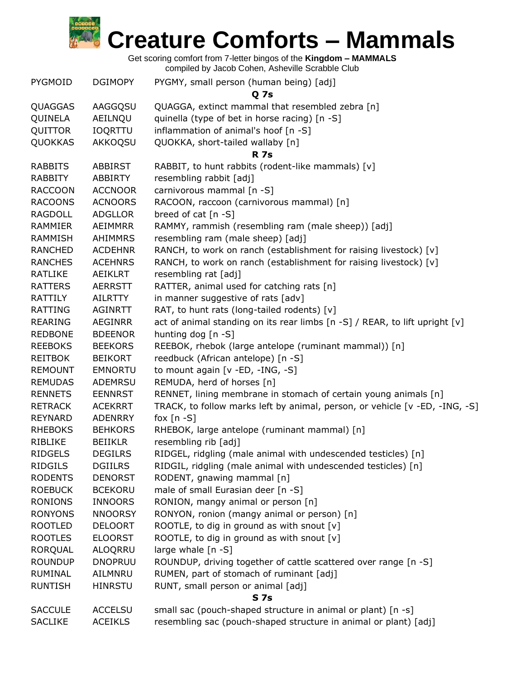

| <b>PYGMOID</b>  | <b>DGIMOPY</b> | PYGMY, small person (human being) [adj]<br><b>Q</b> 7s                      |  |
|-----------------|----------------|-----------------------------------------------------------------------------|--|
| QUAGGAS         | AAGGQSU        | QUAGGA, extinct mammal that resembled zebra [n]                             |  |
| QUINELA         | AEILNQU        | quinella (type of bet in horse racing) [n -S]                               |  |
| QUITTOR         | <b>IOQRTTU</b> | inflammation of animal's hoof [n -S]                                        |  |
| QUOKKAS         | AKKOQSU        | QUOKKA, short-tailed wallaby [n]                                            |  |
|                 |                | <b>R</b> 7s                                                                 |  |
| <b>RABBITS</b>  | <b>ABBIRST</b> | RABBIT, to hunt rabbits (rodent-like mammals) [v]                           |  |
| <b>RABBITY</b>  | <b>ABBIRTY</b> | resembling rabbit [adj]                                                     |  |
| <b>RACCOON</b>  | <b>ACCNOOR</b> | carnivorous mammal [n -S]                                                   |  |
| <b>RACOONS</b>  | <b>ACNOORS</b> | RACOON, raccoon (carnivorous mammal) [n]                                    |  |
| <b>RAGDOLL</b>  | <b>ADGLLOR</b> | breed of cat $[n - S]$                                                      |  |
| <b>RAMMIER</b>  | AEIMMRR        | RAMMY, rammish (resembling ram (male sheep)) [adj]                          |  |
| <b>RAMMISH</b>  | <b>AHIMMRS</b> |                                                                             |  |
| <b>RANCHED</b>  | <b>ACDEHNR</b> | resembling ram (male sheep) [adj]                                           |  |
|                 | <b>ACEHNRS</b> | RANCH, to work on ranch (establishment for raising livestock) [v]           |  |
| <b>RANCHES</b>  |                | RANCH, to work on ranch (establishment for raising livestock) [v]           |  |
| <b>RATLIKE</b>  | AEIKLRT        | resembling rat [adj]                                                        |  |
| <b>RATTERS</b>  | <b>AERRSTT</b> | RATTER, animal used for catching rats [n]                                   |  |
| RATTILY         | <b>AILRTTY</b> | in manner suggestive of rats [adv]                                          |  |
| <b>RATTING</b>  | <b>AGINRTT</b> | RAT, to hunt rats (long-tailed rodents) [v]                                 |  |
| <b>REARING</b>  | <b>AEGINRR</b> | act of animal standing on its rear limbs [n -S] / REAR, to lift upright [v] |  |
| <b>REDBONE</b>  | <b>BDEENOR</b> | hunting dog [n -S]                                                          |  |
| <b>REEBOKS</b>  | <b>BEEKORS</b> | REEBOK, rhebok (large antelope (ruminant mammal)) [n]                       |  |
| <b>REITBOK</b>  | <b>BEIKORT</b> | reedbuck (African antelope) [n -S]                                          |  |
| <b>REMOUNT</b>  | <b>EMNORTU</b> | to mount again [v -ED, -ING, -S]                                            |  |
| <b>REMUDAS</b>  | ADEMRSU        | REMUDA, herd of horses [n]                                                  |  |
| <b>RENNETS</b>  | <b>EENNRST</b> | RENNET, lining membrane in stomach of certain young animals [n]             |  |
| <b>RETRACK</b>  | <b>ACEKRRT</b> | TRACK, to follow marks left by animal, person, or vehicle [v -ED, -ING, -S] |  |
| <b>REYNARD</b>  | <b>ADENRRY</b> | fox $[n - S]$                                                               |  |
| <b>RHEBOKS</b>  | <b>BEHKORS</b> | RHEBOK, large antelope (ruminant mammal) [n]                                |  |
| RIBLIKE         | <b>BEIIKLR</b> | resembling rib [adj]                                                        |  |
| <b>RIDGELS</b>  | <b>DEGILRS</b> | RIDGEL, ridgling (male animal with undescended testicles) [n]               |  |
| <b>RIDGILS</b>  | <b>DGIILRS</b> | RIDGIL, ridgling (male animal with undescended testicles) [n]               |  |
| <b>RODENTS</b>  | <b>DENORST</b> | RODENT, gnawing mammal [n]                                                  |  |
| <b>ROEBUCK</b>  | <b>BCEKORU</b> | male of small Eurasian deer [n -S]                                          |  |
| <b>RONIONS</b>  | <b>INNOORS</b> | RONION, mangy animal or person [n]                                          |  |
| <b>RONYONS</b>  | <b>NNOORSY</b> | RONYON, ronion (mangy animal or person) [n]                                 |  |
| <b>ROOTLED</b>  | <b>DELOORT</b> | ROOTLE, to dig in ground as with snout [v]                                  |  |
| <b>ROOTLES</b>  | <b>ELOORST</b> | ROOTLE, to dig in ground as with snout $[v]$                                |  |
| <b>RORQUAL</b>  | <b>ALOQRRU</b> | large whale $[n -S]$                                                        |  |
| <b>ROUNDUP</b>  | <b>DNOPRUU</b> | ROUNDUP, driving together of cattle scattered over range [n -S]             |  |
| <b>RUMINAL</b>  | AILMNRU        | RUMEN, part of stomach of ruminant [adj]                                    |  |
| <b>RUNTISH</b>  | <b>HINRSTU</b> | RUNT, small person or animal [adj]                                          |  |
| S <sub>7s</sub> |                |                                                                             |  |
| <b>SACCULE</b>  | <b>ACCELSU</b> | small sac (pouch-shaped structure in animal or plant) [n -s]                |  |
| <b>SACLIKE</b>  | <b>ACEIKLS</b> | resembling sac (pouch-shaped structure in animal or plant) [adj]            |  |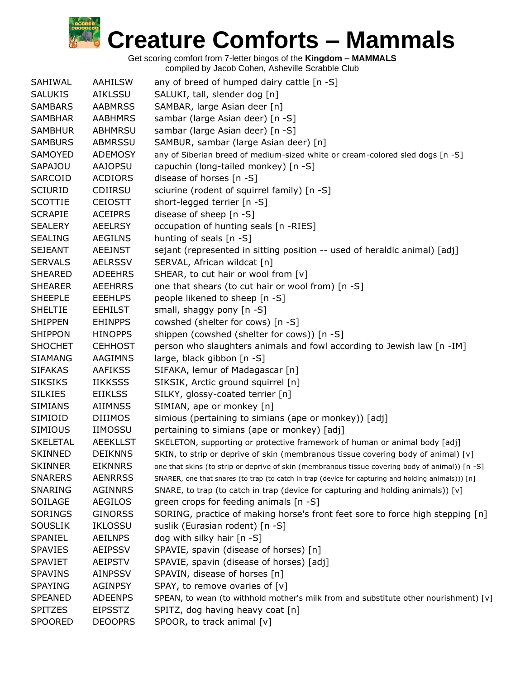| SAHIWAL         | AAHILSW         | any of breed of humped dairy cattle [n -S]                                                          |
|-----------------|-----------------|-----------------------------------------------------------------------------------------------------|
| <b>SALUKIS</b>  | <b>AIKLSSU</b>  | SALUKI, tall, slender dog [n]                                                                       |
| <b>SAMBARS</b>  | <b>AABMRSS</b>  | SAMBAR, large Asian deer [n]                                                                        |
| <b>SAMBHAR</b>  | <b>AABHMRS</b>  | sambar (large Asian deer) [n -S]                                                                    |
| <b>SAMBHUR</b>  | <b>ABHMRSU</b>  | sambar (large Asian deer) [n -S]                                                                    |
| <b>SAMBURS</b>  | ABMRSSU         | SAMBUR, sambar (large Asian deer) [n]                                                               |
| SAMOYED         | <b>ADEMOSY</b>  | any of Siberian breed of medium-sized white or cream-colored sled dogs [n -S]                       |
| SAPAJOU         | <b>AAJOPSU</b>  | capuchin (long-tailed monkey) [n -S]                                                                |
| SARCOID         | <b>ACDIORS</b>  | disease of horses [n -S]                                                                            |
| <b>SCIURID</b>  | <b>CDIIRSU</b>  | sciurine (rodent of squirrel family) [n -S]                                                         |
| <b>SCOTTIE</b>  | <b>CEIOSTT</b>  | short-legged terrier [n -S]                                                                         |
| <b>SCRAPIE</b>  | <b>ACEIPRS</b>  | disease of sheep [n -S]                                                                             |
| <b>SEALERY</b>  | <b>AEELRSY</b>  | occupation of hunting seals [n -RIES]                                                               |
| <b>SEALING</b>  | AEGILNS         | hunting of seals [n -S]                                                                             |
| <b>SEJEANT</b>  | <b>AEEJNST</b>  | sejant (represented in sitting position -- used of heraldic animal) [adj]                           |
| <b>SERVALS</b>  | <b>AELRSSV</b>  | SERVAL, African wildcat [n]                                                                         |
| <b>SHEARED</b>  | <b>ADEEHRS</b>  | SHEAR, to cut hair or wool from [v]                                                                 |
| <b>SHEARER</b>  | <b>AEEHRRS</b>  | one that shears (to cut hair or wool from) [n -S]                                                   |
| <b>SHEEPLE</b>  | <b>EEEHLPS</b>  | people likened to sheep [n -S]                                                                      |
| <b>SHELTIE</b>  | <b>EEHILST</b>  | small, shaggy pony [n -S]                                                                           |
| <b>SHIPPEN</b>  | <b>EHINPPS</b>  | cowshed (shelter for cows) [n -S]                                                                   |
| <b>SHIPPON</b>  | <b>HINOPPS</b>  | shippen (cowshed (shelter for cows)) [n -S]                                                         |
| <b>SHOCHET</b>  | <b>CEHHOST</b>  | person who slaughters animals and fowl according to Jewish law [n -IM]                              |
| <b>SIAMANG</b>  | AAGIMNS         | large, black gibbon [n -S]                                                                          |
| <b>SIFAKAS</b>  | <b>AAFIKSS</b>  | SIFAKA, lemur of Madagascar [n]                                                                     |
| <b>SIKSIKS</b>  | <b>IIKKSSS</b>  | SIKSIK, Arctic ground squirrel [n]                                                                  |
| <b>SILKIES</b>  | <b>EIIKLSS</b>  | SILKY, glossy-coated terrier [n]                                                                    |
| <b>SIMIANS</b>  | <b>AIIMNSS</b>  | SIMIAN, ape or monkey [n]                                                                           |
| SIMIOID         | <b>DIIIMOS</b>  | simious (pertaining to simians (ape or monkey)) [adj]                                               |
| <b>SIMIOUS</b>  | <b>IIMOSSU</b>  | pertaining to simians (ape or monkey) [adj]                                                         |
| <b>SKELETAL</b> | <b>AEEKLLST</b> | SKELETON, supporting or protective framework of human or animal body [adj]                          |
| <b>SKINNED</b>  | <b>DEIKNNS</b>  | SKIN, to strip or deprive of skin (membranous tissue covering body of animal) [v]                   |
| <b>SKINNER</b>  | <b>EIKNNRS</b>  | one that skins (to strip or deprive of skin (membranous tissue covering body of animal)) [n -S]     |
| <b>SNARERS</b>  | <b>AENRRSS</b>  | SNARER, one that snares (to trap (to catch in trap (device for capturing and holding animals))) [n] |
| SNARING         | <b>AGINNRS</b>  | SNARE, to trap (to catch in trap (device for capturing and holding animals)) [v]                    |
| SOILAGE         | <b>AEGILOS</b>  | green crops for feeding animals [n -S]                                                              |
| <b>SORINGS</b>  | <b>GINORSS</b>  | SORING, practice of making horse's front feet sore to force high stepping [n]                       |
| <b>SOUSLIK</b>  | <b>IKLOSSU</b>  | suslik (Eurasian rodent) [n -S]                                                                     |
| SPANIEL         | <b>AEILNPS</b>  | dog with silky hair [n -S]                                                                          |
| <b>SPAVIES</b>  | <b>AEIPSSV</b>  | SPAVIE, spavin (disease of horses) [n]                                                              |
| <b>SPAVIET</b>  | <b>AEIPSTV</b>  | SPAVIE, spavin (disease of horses) [adj]                                                            |
| <b>SPAVINS</b>  | <b>AINPSSV</b>  | SPAVIN, disease of horses [n]                                                                       |
| <b>SPAYING</b>  | <b>AGINPSY</b>  | SPAY, to remove ovaries of [v]                                                                      |
| <b>SPEANED</b>  | <b>ADEENPS</b>  | SPEAN, to wean (to withhold mother's milk from and substitute other nourishment) [v]                |
| <b>SPITZES</b>  | <b>EIPSSTZ</b>  | SPITZ, dog having heavy coat [n]                                                                    |
| <b>SPOORED</b>  | <b>DEOOPRS</b>  | SPOOR, to track animal [v]                                                                          |
|                 |                 |                                                                                                     |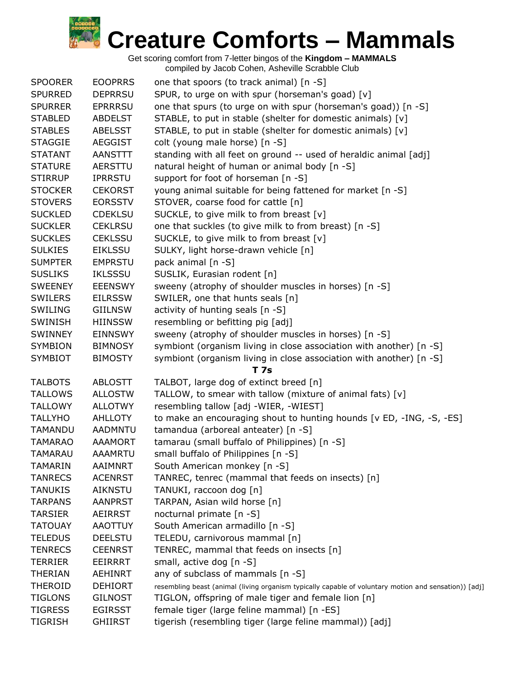

| <b>SPOORER</b> | <b>EOOPRRS</b> | one that spoors (to track animal) [n -S]                                                              |
|----------------|----------------|-------------------------------------------------------------------------------------------------------|
| <b>SPURRED</b> | <b>DEPRRSU</b> | SPUR, to urge on with spur (horseman's goad) [v]                                                      |
| <b>SPURRER</b> | <b>EPRRRSU</b> | one that spurs (to urge on with spur (horseman's goad)) [n -S]                                        |
| <b>STABLED</b> | <b>ABDELST</b> | STABLE, to put in stable (shelter for domestic animals) [v]                                           |
| <b>STABLES</b> | <b>ABELSST</b> | STABLE, to put in stable (shelter for domestic animals) [v]                                           |
| <b>STAGGIE</b> | <b>AEGGIST</b> | colt (young male horse) [n -S]                                                                        |
| <b>STATANT</b> | AANSTTT        | standing with all feet on ground -- used of heraldic animal [adj]                                     |
| <b>STATURE</b> | <b>AERSTTU</b> | natural height of human or animal body [n -S]                                                         |
| <b>STIRRUP</b> | <b>IPRRSTU</b> | support for foot of horseman [n -S]                                                                   |
| <b>STOCKER</b> | <b>CEKORST</b> | young animal suitable for being fattened for market [n -S]                                            |
| <b>STOVERS</b> | <b>EORSSTV</b> | STOVER, coarse food for cattle [n]                                                                    |
| <b>SUCKLED</b> | <b>CDEKLSU</b> | SUCKLE, to give milk to from breast [v]                                                               |
| <b>SUCKLER</b> | <b>CEKLRSU</b> | one that suckles (to give milk to from breast) [n -S]                                                 |
| <b>SUCKLES</b> | <b>CEKLSSU</b> | SUCKLE, to give milk to from breast [v]                                                               |
| <b>SULKIES</b> | <b>EIKLSSU</b> | SULKY, light horse-drawn vehicle [n]                                                                  |
| <b>SUMPTER</b> | <b>EMPRSTU</b> | pack animal [n -S]                                                                                    |
| <b>SUSLIKS</b> | <b>IKLSSSU</b> | SUSLIK, Eurasian rodent [n]                                                                           |
| <b>SWEENEY</b> | <b>EEENSWY</b> | sweeny (atrophy of shoulder muscles in horses) [n -S]                                                 |
| <b>SWILERS</b> | <b>EILRSSW</b> | SWILER, one that hunts seals [n]                                                                      |
| SWILING        | <b>GIILNSW</b> | activity of hunting seals $[n -S]$                                                                    |
| <b>SWINISH</b> | <b>HIINSSW</b> | resembling or befitting pig [adj]                                                                     |
| SWINNEY        | <b>EINNSWY</b> | sweeny (atrophy of shoulder muscles in horses) [n -S]                                                 |
| <b>SYMBION</b> | <b>BIMNOSY</b> | symbiont (organism living in close association with another) [n -S]                                   |
| <b>SYMBIOT</b> | <b>BIMOSTY</b> | symbiont (organism living in close association with another) [n -S]                                   |
|                |                | <b>T7s</b>                                                                                            |
| <b>TALBOTS</b> | <b>ABLOSTT</b> | TALBOT, large dog of extinct breed [n]                                                                |
| <b>TALLOWS</b> | <b>ALLOSTW</b> | TALLOW, to smear with tallow (mixture of animal fats) [v]                                             |
| <b>TALLOWY</b> | <b>ALLOTWY</b> | resembling tallow [adj -WIER, -WIEST]                                                                 |
| <b>TALLYHO</b> | <b>AHLLOTY</b> | to make an encouraging shout to hunting hounds [v ED, -ING, -S, -ES]                                  |
| TAMANDU        | <b>AADMNTU</b> | tamandua (arboreal anteater) [n -S]                                                                   |
| <b>TAMARAO</b> | <b>AAAMORT</b> | tamarau (small buffalo of Philippines) [n -S]                                                         |
| <b>TAMARAU</b> | <b>AAAMRTU</b> | small buffalo of Philippines [n -S]                                                                   |
| <b>TAMARIN</b> | <b>AAIMNRT</b> | South American monkey [n -S]                                                                          |
| <b>TANRECS</b> | <b>ACENRST</b> | TANREC, tenrec (mammal that feeds on insects) [n]                                                     |
| <b>TANUKIS</b> | <b>AIKNSTU</b> | TANUKI, raccoon dog [n]                                                                               |
| <b>TARPANS</b> | <b>AANPRST</b> | TARPAN, Asian wild horse [n]                                                                          |
| <b>TARSIER</b> | <b>AEIRRST</b> | nocturnal primate [n -S]                                                                              |
| <b>TATOUAY</b> | <b>AAOTTUY</b> | South American armadillo [n -S]                                                                       |
| <b>TELEDUS</b> | <b>DEELSTU</b> | TELEDU, carnivorous mammal [n]                                                                        |
| <b>TENRECS</b> | <b>CEENRST</b> | TENREC, mammal that feeds on insects [n]                                                              |
| <b>TERRIER</b> | <b>EEIRRRT</b> | small, active dog [n -S]                                                                              |
| <b>THERIAN</b> | <b>AEHINRT</b> | any of subclass of mammals [n -S]                                                                     |
| <b>THEROID</b> | <b>DEHIORT</b> | resembling beast (animal (living organism typically capable of voluntary motion and sensation)) [adj] |
| <b>TIGLONS</b> | <b>GILNOST</b> | TIGLON, offspring of male tiger and female lion [n]                                                   |
| <b>TIGRESS</b> | <b>EGIRSST</b> | female tiger (large feline mammal) [n -ES]                                                            |
| <b>TIGRISH</b> | <b>GHIIRST</b> | tigerish (resembling tiger (large feline mammal)) [adj]                                               |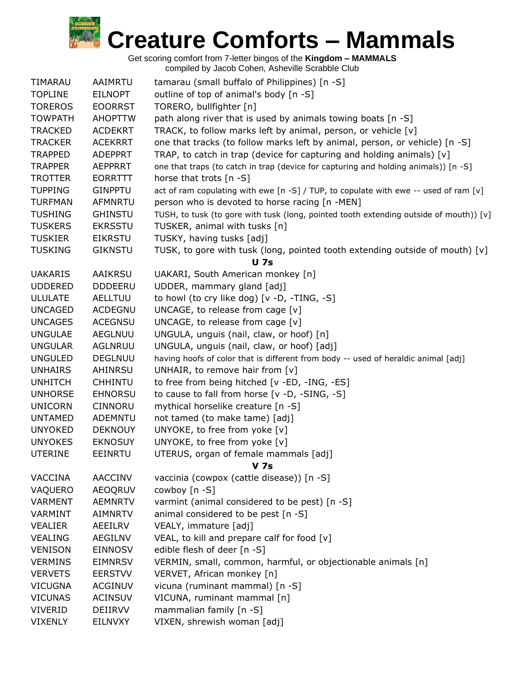

| TIMARAU        | <b>AAIMRTU</b> | tamarau (small buffalo of Philippines) [n -S]                                          |
|----------------|----------------|----------------------------------------------------------------------------------------|
| <b>TOPLINE</b> | <b>EILNOPT</b> | outline of top of animal's body [n -S]                                                 |
| <b>TOREROS</b> | <b>EOORRST</b> | TORERO, bullfighter [n]                                                                |
| <b>TOWPATH</b> | <b>AHOPTTW</b> | path along river that is used by animals towing boats [n -S]                           |
| <b>TRACKED</b> | <b>ACDEKRT</b> | TRACK, to follow marks left by animal, person, or vehicle [v]                          |
| <b>TRACKER</b> | <b>ACEKRRT</b> | one that tracks (to follow marks left by animal, person, or vehicle) [n -S]            |
| <b>TRAPPED</b> | <b>ADEPPRT</b> | TRAP, to catch in trap (device for capturing and holding animals) $[v]$                |
| <b>TRAPPER</b> | <b>AEPPRRT</b> | one that traps (to catch in trap (device for capturing and holding animals)) [n -S]    |
| <b>TROTTER</b> | <b>EORRTTT</b> | horse that trots [n -S]                                                                |
| <b>TUPPING</b> | <b>GINPPTU</b> | act of ram copulating with ewe [n -S] / TUP, to copulate with ewe -- used of ram [v]   |
| <b>TURFMAN</b> | <b>AFMNRTU</b> | person who is devoted to horse racing [n -MEN]                                         |
| <b>TUSHING</b> | <b>GHINSTU</b> | TUSH, to tusk (to gore with tusk (long, pointed tooth extending outside of mouth)) [v] |
| <b>TUSKERS</b> | <b>EKRSSTU</b> | TUSKER, animal with tusks [n]                                                          |
| <b>TUSKIER</b> | <b>EIKRSTU</b> | TUSKY, having tusks [adj]                                                              |
| <b>TUSKING</b> | <b>GIKNSTU</b> | TUSK, to gore with tusk (long, pointed tooth extending outside of mouth) $[v]$         |
|                |                | <b>U</b> 7s                                                                            |
| <b>UAKARIS</b> | <b>AAIKRSU</b> | UAKARI, South American monkey [n]                                                      |
| <b>UDDERED</b> | <b>DDDEERU</b> | UDDER, mammary gland [adj]                                                             |
| <b>ULULATE</b> | <b>AELLTUU</b> | to howl (to cry like dog) [v -D, -TING, -S]                                            |
| <b>UNCAGED</b> | <b>ACDEGNU</b> | UNCAGE, to release from cage [v]                                                       |
| <b>UNCAGES</b> | <b>ACEGNSU</b> | UNCAGE, to release from cage $[v]$                                                     |
| <b>UNGULAE</b> | <b>AEGLNUU</b> | UNGULA, unguis (nail, claw, or hoof) [n]                                               |
| <b>UNGULAR</b> | AGLNRUU        | UNGULA, unguis (nail, claw, or hoof) [adj]                                             |
| <b>UNGULED</b> | <b>DEGLNUU</b> | having hoofs of color that is different from body -- used of heraldic animal [adj]     |
| <b>UNHAIRS</b> | AHINRSU        | UNHAIR, to remove hair from $[v]$                                                      |
| <b>UNHITCH</b> | <b>CHHINTU</b> | to free from being hitched [v -ED, -ING, -ES]                                          |
| <b>UNHORSE</b> | EHNORSU        | to cause to fall from horse [v -D, -SING, -S]                                          |
| <b>UNICORN</b> | <b>CINNORU</b> | mythical horselike creature [n -S]                                                     |
| <b>UNTAMED</b> | <b>ADEMNTU</b> | not tamed (to make tame) [adj]                                                         |
| <b>UNYOKED</b> | <b>DEKNOUY</b> | UNYOKE, to free from yoke [v]                                                          |
| <b>UNYOKES</b> | <b>EKNOSUY</b> | UNYOKE, to free from yoke [v]                                                          |
| <b>UTERINE</b> | <b>EEINRTU</b> | UTERUS, organ of female mammals [adj]                                                  |
|                |                | <b>V</b> 7s                                                                            |
| <b>VACCINA</b> | <b>AACCINV</b> | vaccinia (cowpox (cattle disease)) [n -S]                                              |
| VAQUERO        | <b>AEOQRUV</b> | cowboy [n -S]                                                                          |
| <b>VARMENT</b> | <b>AEMNRTV</b> | varmint (animal considered to be pest) [n -S]                                          |
| <b>VARMINT</b> | <b>AIMNRTV</b> | animal considered to be pest [n -S]                                                    |
| <b>VEALIER</b> | AEEILRV        | VEALY, immature [adj]                                                                  |
| <b>VEALING</b> | AEGILNV        | VEAL, to kill and prepare calf for food [v]                                            |
| <b>VENISON</b> | <b>EINNOSV</b> | edible flesh of deer [n -S]                                                            |
| <b>VERMINS</b> | <b>EIMNRSV</b> | VERMIN, small, common, harmful, or objectionable animals [n]                           |
| <b>VERVETS</b> | <b>EERSTVV</b> | VERVET, African monkey [n]                                                             |
| <b>VICUGNA</b> | <b>ACGINUV</b> | vicuna (ruminant mammal) [n -S]                                                        |
| <b>VICUNAS</b> | <b>ACINSUV</b> | VICUNA, ruminant mammal [n]                                                            |
| <b>VIVERID</b> | DEIIRVV        | mammalian family [n -S]                                                                |
| <b>VIXENLY</b> | EILNVXY        | VIXEN, shrewish woman [adj]                                                            |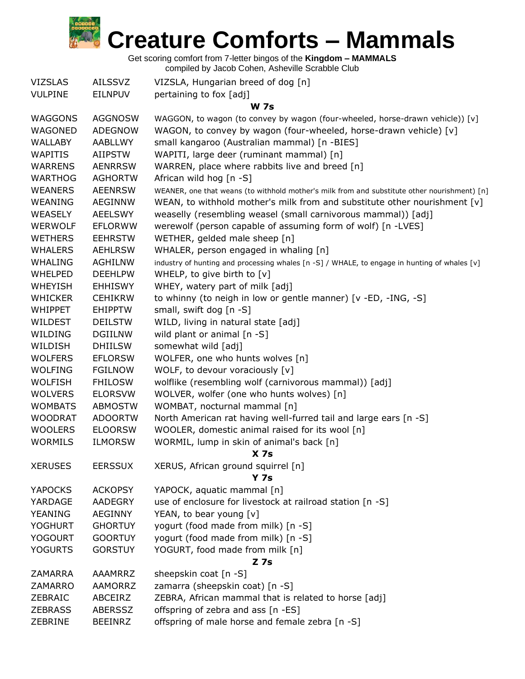

Get scoring comfort from 7-letter bingos of the **Kingdom – MAMMALS**

| <b>VIZSLAS</b> | <b>AILSSVZ</b> | VIZSLA, Hungarian breed of dog [n]                                                           |  |
|----------------|----------------|----------------------------------------------------------------------------------------------|--|
| <b>VULPINE</b> | <b>EILNPUV</b> | pertaining to fox [adj]                                                                      |  |
|                |                | <b>W 7s</b>                                                                                  |  |
| <b>WAGGONS</b> | <b>AGGNOSW</b> | WAGGON, to wagon (to convey by wagon (four-wheeled, horse-drawn vehicle)) [v]                |  |
| WAGONED        | <b>ADEGNOW</b> | WAGON, to convey by wagon (four-wheeled, horse-drawn vehicle) [v]                            |  |
| <b>WALLABY</b> | <b>AABLLWY</b> | small kangaroo (Australian mammal) [n -BIES]                                                 |  |
| <b>WAPITIS</b> | <b>AIIPSTW</b> | WAPITI, large deer (ruminant mammal) [n]                                                     |  |
| <b>WARRENS</b> | <b>AENRRSW</b> | WARREN, place where rabbits live and breed [n]                                               |  |
| <b>WARTHOG</b> | <b>AGHORTW</b> | African wild hog [n -S]                                                                      |  |
| <b>WEANERS</b> | <b>AEENRSW</b> | WEANER, one that weans (to withhold mother's milk from and substitute other nourishment) [n] |  |
| <b>WEANING</b> | <b>AEGINNW</b> | WEAN, to withhold mother's milk from and substitute other nourishment $[v]$                  |  |
| <b>WEASELY</b> | <b>AEELSWY</b> | weaselly (resembling weasel (small carnivorous mammal)) [adj]                                |  |
| <b>WERWOLF</b> | <b>EFLORWW</b> | werewolf (person capable of assuming form of wolf) [n -LVES]                                 |  |
| <b>WETHERS</b> | <b>EEHRSTW</b> | WETHER, gelded male sheep [n]                                                                |  |
| <b>WHALERS</b> | <b>AEHLRSW</b> | WHALER, person engaged in whaling [n]                                                        |  |
| <b>WHALING</b> | <b>AGHILNW</b> | industry of hunting and processing whales [n -S] / WHALE, to engage in hunting of whales [v] |  |
| <b>WHELPED</b> | <b>DEEHLPW</b> | WHELP, to give birth to [v]                                                                  |  |
| <b>WHEYISH</b> | <b>EHHISWY</b> | WHEY, watery part of milk [adj]                                                              |  |
| <b>WHICKER</b> | <b>CEHIKRW</b> | to whinny (to neigh in low or gentle manner) [v -ED, -ING, -S]                               |  |
| <b>WHIPPET</b> | <b>EHIPPTW</b> | small, swift dog [n -S]                                                                      |  |
| <b>WILDEST</b> | <b>DEILSTW</b> | WILD, living in natural state [adj]                                                          |  |
| WILDING        | <b>DGIILNW</b> | wild plant or animal $[n - S]$                                                               |  |
| WILDISH        | <b>DHIILSW</b> | somewhat wild [adj]                                                                          |  |
| <b>WOLFERS</b> | <b>EFLORSW</b> | WOLFER, one who hunts wolves [n]                                                             |  |
| <b>WOLFING</b> | <b>FGILNOW</b> | WOLF, to devour voraciously [v]                                                              |  |
| <b>WOLFISH</b> | <b>FHILOSW</b> | wolflike (resembling wolf (carnivorous mammal)) [adj]                                        |  |
| <b>WOLVERS</b> | <b>ELORSVW</b> | WOLVER, wolfer (one who hunts wolves) [n]                                                    |  |
| <b>WOMBATS</b> | <b>ABMOSTW</b> | WOMBAT, nocturnal mammal [n]                                                                 |  |
| <b>WOODRAT</b> | <b>ADOORTW</b> | North American rat having well-furred tail and large ears [n -S]                             |  |
| <b>WOOLERS</b> | <b>ELOORSW</b> | WOOLER, domestic animal raised for its wool [n]                                              |  |
| <b>WORMILS</b> | <b>ILMORSW</b> | WORMIL, lump in skin of animal's back [n]                                                    |  |
|                |                | X <sub>7s</sub>                                                                              |  |
| <b>XERUSES</b> | <b>EERSSUX</b> | XERUS, African ground squirrel [n]                                                           |  |
|                |                | <b>Y 7s</b>                                                                                  |  |
| <b>YAPOCKS</b> | <b>ACKOPSY</b> | YAPOCK, aquatic mammal [n]                                                                   |  |
| YARDAGE        | AADEGRY        | use of enclosure for livestock at railroad station [n -S]                                    |  |
| <b>YEANING</b> | <b>AEGINNY</b> | YEAN, to bear young [v]                                                                      |  |
| <b>YOGHURT</b> | <b>GHORTUY</b> | yogurt (food made from milk) [n -S]                                                          |  |
| <b>YOGOURT</b> | <b>GOORTUY</b> | yogurt (food made from milk) [n -S]                                                          |  |
| <b>YOGURTS</b> | <b>GORSTUY</b> | YOGURT, food made from milk [n]                                                              |  |
| $Z$ 7s         |                |                                                                                              |  |
| <b>ZAMARRA</b> | AAAMRRZ        | sheepskin coat [n -S]                                                                        |  |
| ZAMARRO        | AAMORRZ        | zamarra (sheepskin coat) [n -S]                                                              |  |
| ZEBRAIC        | ABCEIRZ        | ZEBRA, African mammal that is related to horse [adj]                                         |  |
| <b>ZEBRASS</b> | <b>ABERSSZ</b> | offspring of zebra and ass [n -ES]                                                           |  |
| ZEBRINE        | <b>BEEINRZ</b> | offspring of male horse and female zebra [n -S]                                              |  |